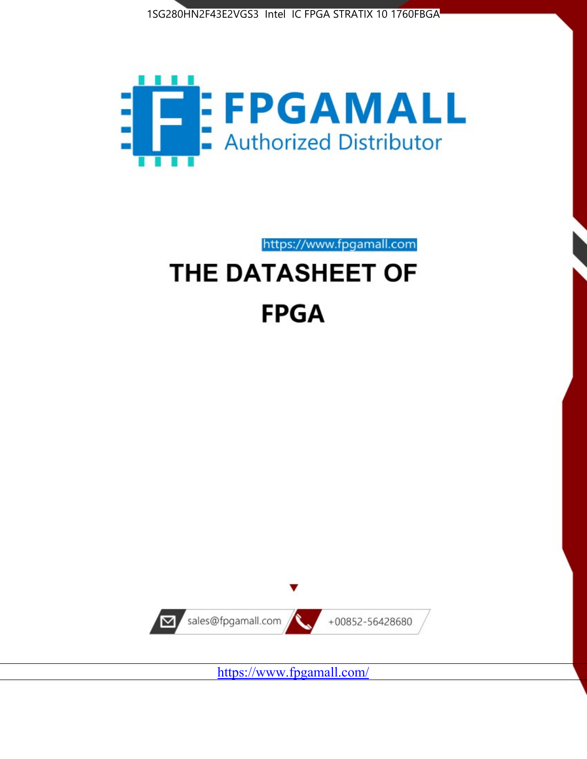1SG280HN2F43E2VGS3 Intel IC FPGA STRATIX 10 1760FBGA



https://www.fpgamall.com

# THE DATASHEET OF **FPGA**



<https://www.fpgamall.com/>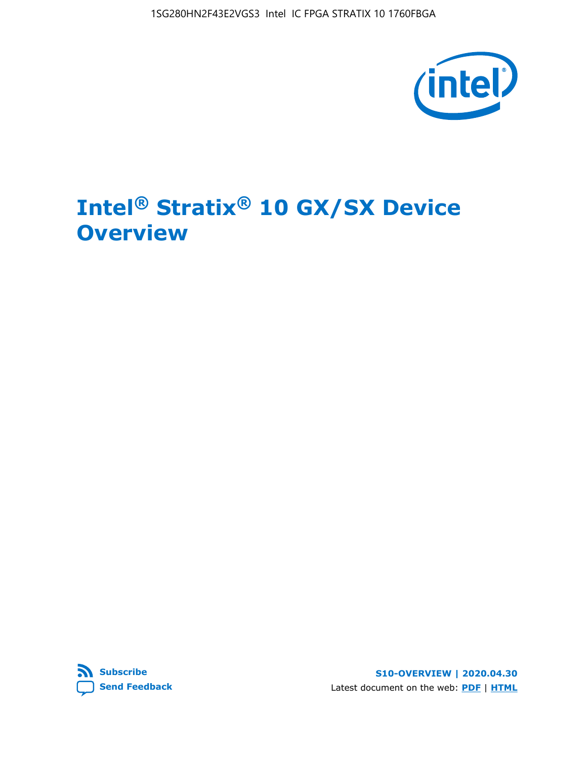1SG280HN2F43E2VGS3 Intel IC FPGA STRATIX 10 1760FBGA



# **Intel® Stratix® 10 GX/SX Device Overview**



**S10-OVERVIEW | 2020.04.30** Latest document on the web: **[PDF](https://www.intel.com/content/dam/www/programmable/us/en/pdfs/literature/hb/stratix-10/s10-overview.pdf)** | **[HTML](https://www.intel.com/content/www/us/en/programmable/documentation/joc1442261161666.html)**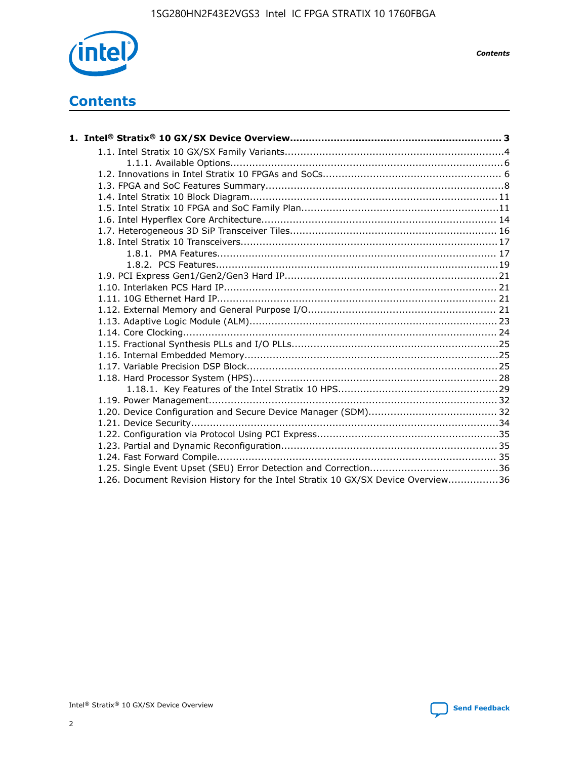

*Contents*

# **Contents**

| 1.26. Document Revision History for the Intel Stratix 10 GX/SX Device Overview36 |  |
|----------------------------------------------------------------------------------|--|

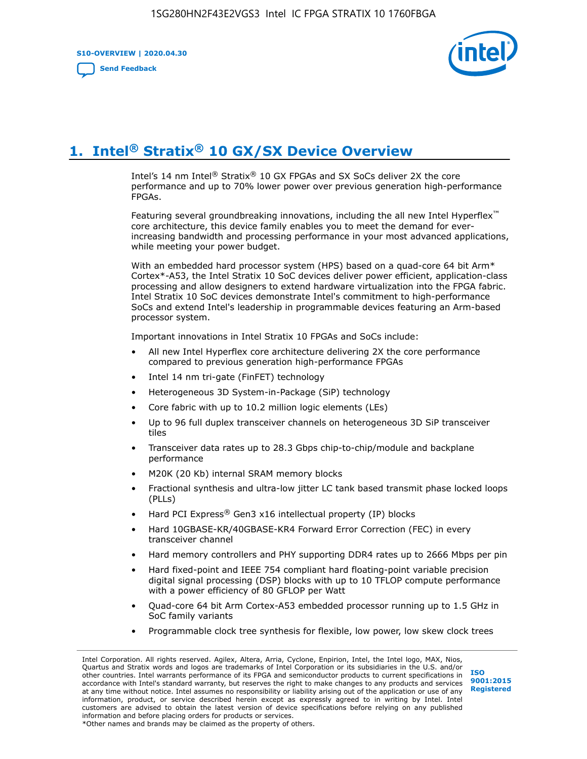**S10-OVERVIEW | 2020.04.30**

**[Send Feedback](mailto:FPGAtechdocfeedback@intel.com?subject=Feedback%20on%20Intel%20Stratix%2010%20GX/SX%20Device%20Overview%20(S10-OVERVIEW%202020.04.30)&body=We%20appreciate%20your%20feedback.%20In%20your%20comments,%20also%20specify%20the%20page%20number%20or%20paragraph.%20Thank%20you.)**



# **1. Intel® Stratix® 10 GX/SX Device Overview**

Intel's 14 nm Intel® Stratix® 10 GX FPGAs and SX SoCs deliver 2X the core performance and up to 70% lower power over previous generation high-performance FPGAs.

Featuring several groundbreaking innovations, including the all new Intel Hyperflex™ core architecture, this device family enables you to meet the demand for everincreasing bandwidth and processing performance in your most advanced applications, while meeting your power budget.

With an embedded hard processor system (HPS) based on a quad-core 64 bit Arm\* Cortex\*-A53, the Intel Stratix 10 SoC devices deliver power efficient, application-class processing and allow designers to extend hardware virtualization into the FPGA fabric. Intel Stratix 10 SoC devices demonstrate Intel's commitment to high-performance SoCs and extend Intel's leadership in programmable devices featuring an Arm-based processor system.

Important innovations in Intel Stratix 10 FPGAs and SoCs include:

- All new Intel Hyperflex core architecture delivering 2X the core performance compared to previous generation high-performance FPGAs
- Intel 14 nm tri-gate (FinFET) technology
- Heterogeneous 3D System-in-Package (SiP) technology
- Core fabric with up to 10.2 million logic elements (LEs)
- Up to 96 full duplex transceiver channels on heterogeneous 3D SiP transceiver tiles
- Transceiver data rates up to 28.3 Gbps chip-to-chip/module and backplane performance
- M20K (20 Kb) internal SRAM memory blocks
- Fractional synthesis and ultra-low jitter LC tank based transmit phase locked loops (PLLs)
- Hard PCI Express<sup>®</sup> Gen3 x16 intellectual property (IP) blocks
- Hard 10GBASE-KR/40GBASE-KR4 Forward Error Correction (FEC) in every transceiver channel
- Hard memory controllers and PHY supporting DDR4 rates up to 2666 Mbps per pin
- Hard fixed-point and IEEE 754 compliant hard floating-point variable precision digital signal processing (DSP) blocks with up to 10 TFLOP compute performance with a power efficiency of 80 GFLOP per Watt
- Quad-core 64 bit Arm Cortex-A53 embedded processor running up to 1.5 GHz in SoC family variants
- Programmable clock tree synthesis for flexible, low power, low skew clock trees

Intel Corporation. All rights reserved. Agilex, Altera, Arria, Cyclone, Enpirion, Intel, the Intel logo, MAX, Nios, Quartus and Stratix words and logos are trademarks of Intel Corporation or its subsidiaries in the U.S. and/or other countries. Intel warrants performance of its FPGA and semiconductor products to current specifications in accordance with Intel's standard warranty, but reserves the right to make changes to any products and services at any time without notice. Intel assumes no responsibility or liability arising out of the application or use of any information, product, or service described herein except as expressly agreed to in writing by Intel. Intel customers are advised to obtain the latest version of device specifications before relying on any published information and before placing orders for products or services. \*Other names and brands may be claimed as the property of others.

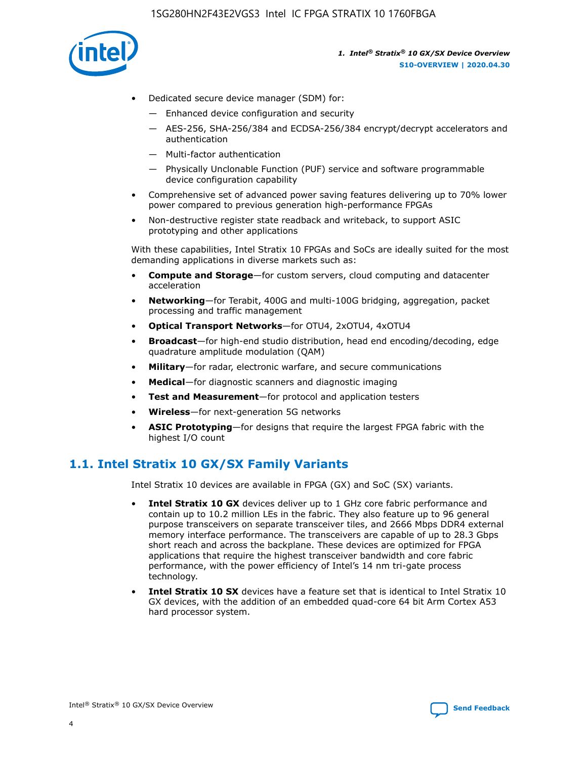

- Dedicated secure device manager (SDM) for:
	- Enhanced device configuration and security
	- AES-256, SHA-256/384 and ECDSA-256/384 encrypt/decrypt accelerators and authentication
	- Multi-factor authentication
	- Physically Unclonable Function (PUF) service and software programmable device configuration capability
- Comprehensive set of advanced power saving features delivering up to 70% lower power compared to previous generation high-performance FPGAs
- Non-destructive register state readback and writeback, to support ASIC prototyping and other applications

With these capabilities, Intel Stratix 10 FPGAs and SoCs are ideally suited for the most demanding applications in diverse markets such as:

- **Compute and Storage**—for custom servers, cloud computing and datacenter acceleration
- **Networking**—for Terabit, 400G and multi-100G bridging, aggregation, packet processing and traffic management
- **Optical Transport Networks**—for OTU4, 2xOTU4, 4xOTU4
- **Broadcast**—for high-end studio distribution, head end encoding/decoding, edge quadrature amplitude modulation (QAM)
- **Military**—for radar, electronic warfare, and secure communications
- **Medical**—for diagnostic scanners and diagnostic imaging
- **Test and Measurement**—for protocol and application testers
- **Wireless**—for next-generation 5G networks
- **ASIC Prototyping**—for designs that require the largest FPGA fabric with the highest I/O count

## **1.1. Intel Stratix 10 GX/SX Family Variants**

Intel Stratix 10 devices are available in FPGA (GX) and SoC (SX) variants.

- **Intel Stratix 10 GX** devices deliver up to 1 GHz core fabric performance and contain up to 10.2 million LEs in the fabric. They also feature up to 96 general purpose transceivers on separate transceiver tiles, and 2666 Mbps DDR4 external memory interface performance. The transceivers are capable of up to 28.3 Gbps short reach and across the backplane. These devices are optimized for FPGA applications that require the highest transceiver bandwidth and core fabric performance, with the power efficiency of Intel's 14 nm tri-gate process technology.
- **Intel Stratix 10 SX** devices have a feature set that is identical to Intel Stratix 10 GX devices, with the addition of an embedded quad-core 64 bit Arm Cortex A53 hard processor system.

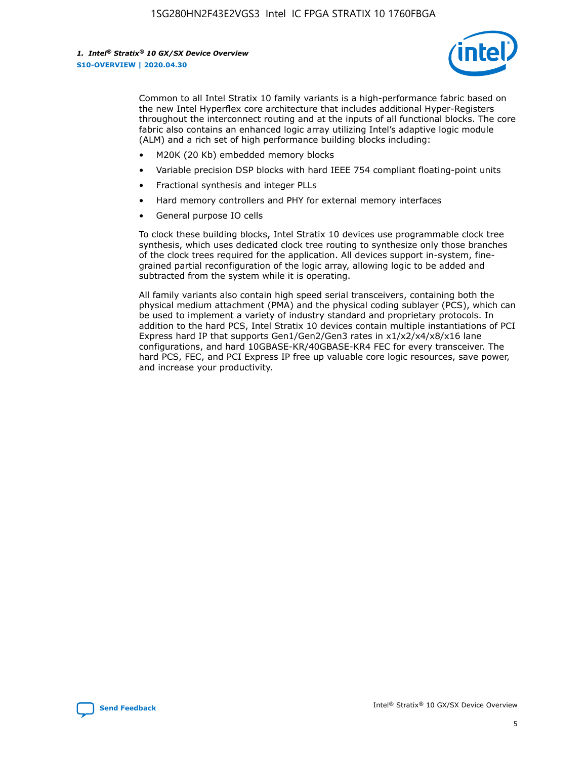

Common to all Intel Stratix 10 family variants is a high-performance fabric based on the new Intel Hyperflex core architecture that includes additional Hyper-Registers throughout the interconnect routing and at the inputs of all functional blocks. The core fabric also contains an enhanced logic array utilizing Intel's adaptive logic module (ALM) and a rich set of high performance building blocks including:

- M20K (20 Kb) embedded memory blocks
- Variable precision DSP blocks with hard IEEE 754 compliant floating-point units
- Fractional synthesis and integer PLLs
- Hard memory controllers and PHY for external memory interfaces
- General purpose IO cells

To clock these building blocks, Intel Stratix 10 devices use programmable clock tree synthesis, which uses dedicated clock tree routing to synthesize only those branches of the clock trees required for the application. All devices support in-system, finegrained partial reconfiguration of the logic array, allowing logic to be added and subtracted from the system while it is operating.

All family variants also contain high speed serial transceivers, containing both the physical medium attachment (PMA) and the physical coding sublayer (PCS), which can be used to implement a variety of industry standard and proprietary protocols. In addition to the hard PCS, Intel Stratix 10 devices contain multiple instantiations of PCI Express hard IP that supports Gen1/Gen2/Gen3 rates in x1/x2/x4/x8/x16 lane configurations, and hard 10GBASE-KR/40GBASE-KR4 FEC for every transceiver. The hard PCS, FEC, and PCI Express IP free up valuable core logic resources, save power, and increase your productivity.

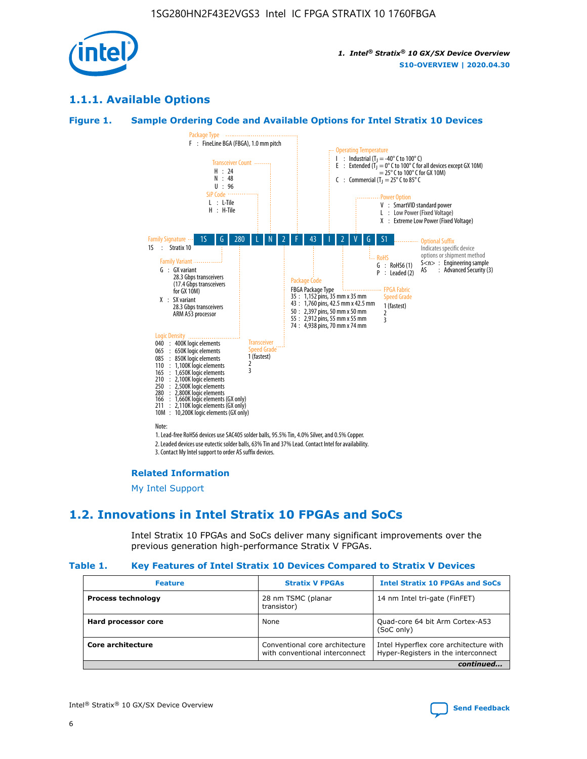

## **1.1.1. Available Options**

### **Figure 1. Sample Ordering Code and Available Options for Intel Stratix 10 Devices**



3. Contact My Intel support to order AS suffix devices.

#### **Related Information**

[My Intel Support](https://www.intel.com/content/www/us/en/programmable/my-intel/mal-home.html)

## **1.2. Innovations in Intel Stratix 10 FPGAs and SoCs**

Intel Stratix 10 FPGAs and SoCs deliver many significant improvements over the previous generation high-performance Stratix V FPGAs.

#### **Table 1. Key Features of Intel Stratix 10 Devices Compared to Stratix V Devices**

| <b>Feature</b>            | <b>Stratix V FPGAs</b>                                             | <b>Intel Stratix 10 FPGAs and SoCs</b>                                        |  |
|---------------------------|--------------------------------------------------------------------|-------------------------------------------------------------------------------|--|
| <b>Process technology</b> | 28 nm TSMC (planar<br>14 nm Intel tri-gate (FinFET)<br>transistor) |                                                                               |  |
| Hard processor core       | None                                                               | Quad-core 64 bit Arm Cortex-A53<br>(SoC only)                                 |  |
| Core architecture         | Conventional core architecture<br>with conventional interconnect   | Intel Hyperflex core architecture with<br>Hyper-Registers in the interconnect |  |
|                           |                                                                    | continued                                                                     |  |

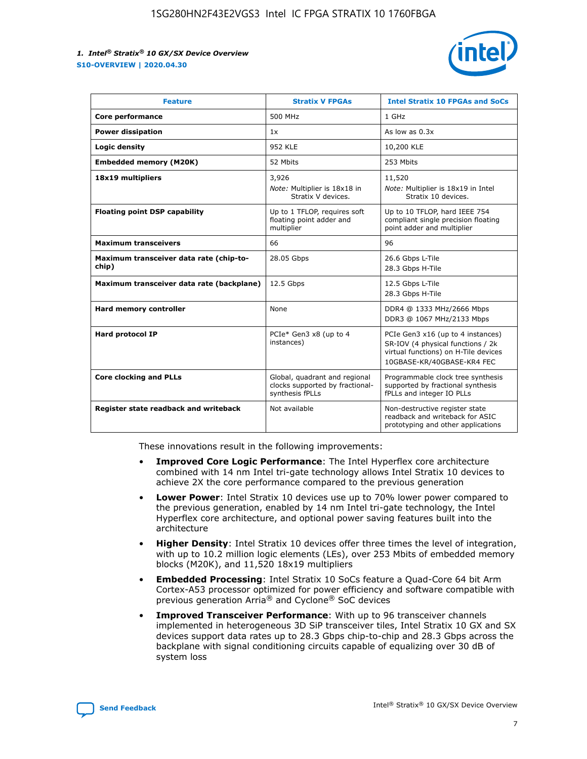

| <b>Feature</b>                                   | <b>Stratix V FPGAs</b>                                                              | <b>Intel Stratix 10 FPGAs and SoCs</b>                                                                                                       |
|--------------------------------------------------|-------------------------------------------------------------------------------------|----------------------------------------------------------------------------------------------------------------------------------------------|
| Core performance                                 | 500 MHz                                                                             | 1 GHz                                                                                                                                        |
| <b>Power dissipation</b>                         | 1x                                                                                  | As low as $0.3x$                                                                                                                             |
| Logic density                                    | <b>952 KLE</b>                                                                      | 10,200 KLE                                                                                                                                   |
| <b>Embedded memory (M20K)</b>                    | 52 Mbits                                                                            | 253 Mbits                                                                                                                                    |
| 18x19 multipliers                                | 3,926                                                                               | 11,520                                                                                                                                       |
|                                                  | Note: Multiplier is 18x18 in<br>Stratix V devices.                                  | Note: Multiplier is 18x19 in Intel<br>Stratix 10 devices.                                                                                    |
| <b>Floating point DSP capability</b>             | Up to 1 TFLOP, requires soft<br>floating point adder and<br>multiplier              | Up to 10 TFLOP, hard IEEE 754<br>compliant single precision floating<br>point adder and multiplier                                           |
| <b>Maximum transceivers</b>                      | 66                                                                                  | 96                                                                                                                                           |
| Maximum transceiver data rate (chip-to-<br>chip) | 28.05 Gbps                                                                          | 26.6 Gbps L-Tile<br>28.3 Gbps H-Tile                                                                                                         |
| Maximum transceiver data rate (backplane)        | 12.5 Gbps                                                                           | 12.5 Gbps L-Tile<br>28.3 Gbps H-Tile                                                                                                         |
| Hard memory controller                           | None                                                                                | DDR4 @ 1333 MHz/2666 Mbps<br>DDR3 @ 1067 MHz/2133 Mbps                                                                                       |
| Hard protocol IP                                 | PCIe* Gen3 x8 (up to 4<br>instances)                                                | PCIe Gen3 x16 (up to 4 instances)<br>SR-IOV (4 physical functions / 2k<br>virtual functions) on H-Tile devices<br>10GBASE-KR/40GBASE-KR4 FEC |
| <b>Core clocking and PLLs</b>                    | Global, quadrant and regional<br>clocks supported by fractional-<br>synthesis fPLLs | Programmable clock tree synthesis<br>supported by fractional synthesis<br>fPLLs and integer IO PLLs                                          |
| Register state readback and writeback            | Not available                                                                       | Non-destructive register state<br>readback and writeback for ASIC<br>prototyping and other applications                                      |

These innovations result in the following improvements:

- **Improved Core Logic Performance**: The Intel Hyperflex core architecture combined with 14 nm Intel tri-gate technology allows Intel Stratix 10 devices to achieve 2X the core performance compared to the previous generation
- **Lower Power**: Intel Stratix 10 devices use up to 70% lower power compared to the previous generation, enabled by 14 nm Intel tri-gate technology, the Intel Hyperflex core architecture, and optional power saving features built into the architecture
- **Higher Density**: Intel Stratix 10 devices offer three times the level of integration, with up to 10.2 million logic elements (LEs), over 253 Mbits of embedded memory blocks (M20K), and 11,520 18x19 multipliers
- **Embedded Processing**: Intel Stratix 10 SoCs feature a Quad-Core 64 bit Arm Cortex-A53 processor optimized for power efficiency and software compatible with previous generation Arria® and Cyclone® SoC devices
- **Improved Transceiver Performance**: With up to 96 transceiver channels implemented in heterogeneous 3D SiP transceiver tiles, Intel Stratix 10 GX and SX devices support data rates up to 28.3 Gbps chip-to-chip and 28.3 Gbps across the backplane with signal conditioning circuits capable of equalizing over 30 dB of system loss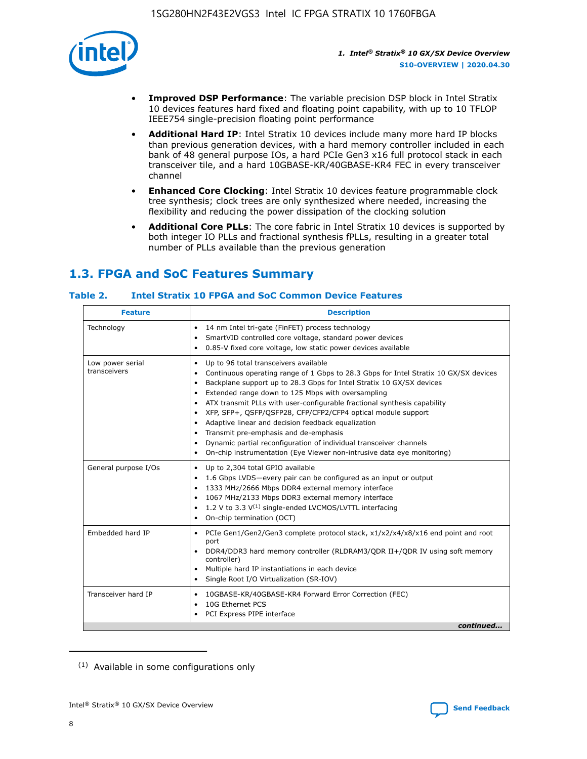

- **Improved DSP Performance**: The variable precision DSP block in Intel Stratix 10 devices features hard fixed and floating point capability, with up to 10 TFLOP IEEE754 single-precision floating point performance
- **Additional Hard IP**: Intel Stratix 10 devices include many more hard IP blocks than previous generation devices, with a hard memory controller included in each bank of 48 general purpose IOs, a hard PCIe Gen3 x16 full protocol stack in each transceiver tile, and a hard 10GBASE-KR/40GBASE-KR4 FEC in every transceiver channel
- **Enhanced Core Clocking**: Intel Stratix 10 devices feature programmable clock tree synthesis; clock trees are only synthesized where needed, increasing the flexibility and reducing the power dissipation of the clocking solution
- **Additional Core PLLs**: The core fabric in Intel Stratix 10 devices is supported by both integer IO PLLs and fractional synthesis fPLLs, resulting in a greater total number of PLLs available than the previous generation

## **1.3. FPGA and SoC Features Summary**

## **Table 2. Intel Stratix 10 FPGA and SoC Common Device Features**

| <b>Feature</b>                   | <b>Description</b>                                                                                                                                                                                                                                                                                                                                                                                                                                                                                                                                                                                                                                                                                                                      |
|----------------------------------|-----------------------------------------------------------------------------------------------------------------------------------------------------------------------------------------------------------------------------------------------------------------------------------------------------------------------------------------------------------------------------------------------------------------------------------------------------------------------------------------------------------------------------------------------------------------------------------------------------------------------------------------------------------------------------------------------------------------------------------------|
| Technology                       | 14 nm Intel tri-gate (FinFET) process technology<br>٠<br>SmartVID controlled core voltage, standard power devices<br>0.85-V fixed core voltage, low static power devices available                                                                                                                                                                                                                                                                                                                                                                                                                                                                                                                                                      |
| Low power serial<br>transceivers | Up to 96 total transceivers available<br>$\bullet$<br>Continuous operating range of 1 Gbps to 28.3 Gbps for Intel Stratix 10 GX/SX devices<br>$\bullet$<br>Backplane support up to 28.3 Gbps for Intel Stratix 10 GX/SX devices<br>$\bullet$<br>Extended range down to 125 Mbps with oversampling<br>$\bullet$<br>ATX transmit PLLs with user-configurable fractional synthesis capability<br>$\bullet$<br>• XFP, SFP+, QSFP/QSFP28, CFP/CFP2/CFP4 optical module support<br>• Adaptive linear and decision feedback equalization<br>Transmit pre-emphasis and de-emphasis<br>Dynamic partial reconfiguration of individual transceiver channels<br>$\bullet$<br>On-chip instrumentation (Eye Viewer non-intrusive data eye monitoring) |
| General purpose I/Os             | Up to 2,304 total GPIO available<br>$\bullet$<br>1.6 Gbps LVDS-every pair can be configured as an input or output<br>1333 MHz/2666 Mbps DDR4 external memory interface<br>1067 MHz/2133 Mbps DDR3 external memory interface<br>• 1.2 V to 3.3 $V^{(1)}$ single-ended LVCMOS/LVTTL interfacing<br>On-chip termination (OCT)<br>$\bullet$                                                                                                                                                                                                                                                                                                                                                                                                 |
| Embedded hard IP                 | PCIe Gen1/Gen2/Gen3 complete protocol stack, $x1/x2/x4/x8/x16$ end point and root<br>$\bullet$<br>port<br>DDR4/DDR3 hard memory controller (RLDRAM3/QDR II+/QDR IV using soft memory<br>controller)<br>• Multiple hard IP instantiations in each device<br>• Single Root I/O Virtualization (SR-IOV)                                                                                                                                                                                                                                                                                                                                                                                                                                    |
| Transceiver hard IP              | 10GBASE-KR/40GBASE-KR4 Forward Error Correction (FEC)<br>$\bullet$<br>10G Ethernet PCS<br>$\bullet$<br>PCI Express PIPE interface<br>$\bullet$<br>continued                                                                                                                                                                                                                                                                                                                                                                                                                                                                                                                                                                             |

<sup>(1)</sup> Available in some configurations only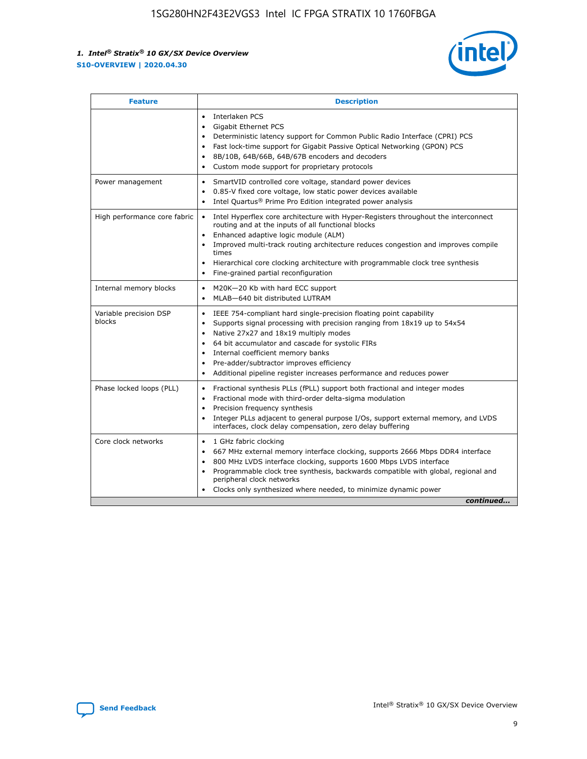

| <b>Feature</b>                   | <b>Description</b>                                                                                                                                                                                                                                                                                                                                                                                                                                            |  |  |  |
|----------------------------------|---------------------------------------------------------------------------------------------------------------------------------------------------------------------------------------------------------------------------------------------------------------------------------------------------------------------------------------------------------------------------------------------------------------------------------------------------------------|--|--|--|
|                                  | Interlaken PCS<br>$\bullet$<br>Gigabit Ethernet PCS<br>$\bullet$<br>Deterministic latency support for Common Public Radio Interface (CPRI) PCS<br>$\bullet$<br>Fast lock-time support for Gigabit Passive Optical Networking (GPON) PCS<br>٠<br>8B/10B, 64B/66B, 64B/67B encoders and decoders<br>Custom mode support for proprietary protocols<br>٠                                                                                                          |  |  |  |
| Power management                 | SmartVID controlled core voltage, standard power devices<br>$\bullet$<br>0.85-V fixed core voltage, low static power devices available<br>$\bullet$<br>Intel Quartus <sup>®</sup> Prime Pro Edition integrated power analysis<br>٠                                                                                                                                                                                                                            |  |  |  |
| High performance core fabric     | Intel Hyperflex core architecture with Hyper-Registers throughout the interconnect<br>routing and at the inputs of all functional blocks<br>Enhanced adaptive logic module (ALM)<br>Improved multi-track routing architecture reduces congestion and improves compile<br>times<br>Hierarchical core clocking architecture with programmable clock tree synthesis<br>$\bullet$<br>Fine-grained partial reconfiguration                                         |  |  |  |
| Internal memory blocks           | M20K-20 Kb with hard ECC support<br>٠<br>MLAB-640 bit distributed LUTRAM<br>$\bullet$                                                                                                                                                                                                                                                                                                                                                                         |  |  |  |
| Variable precision DSP<br>blocks | IEEE 754-compliant hard single-precision floating point capability<br>$\bullet$<br>Supports signal processing with precision ranging from 18x19 up to 54x54<br>$\bullet$<br>Native 27x27 and 18x19 multiply modes<br>٠<br>64 bit accumulator and cascade for systolic FIRs<br>Internal coefficient memory banks<br>Pre-adder/subtractor improves efficiency<br>$\bullet$<br>Additional pipeline register increases performance and reduces power<br>$\bullet$ |  |  |  |
| Phase locked loops (PLL)         | Fractional synthesis PLLs (fPLL) support both fractional and integer modes<br>$\bullet$<br>Fractional mode with third-order delta-sigma modulation<br>Precision frequency synthesis<br>$\bullet$<br>Integer PLLs adjacent to general purpose I/Os, support external memory, and LVDS<br>$\bullet$<br>interfaces, clock delay compensation, zero delay buffering                                                                                               |  |  |  |
| Core clock networks              | 1 GHz fabric clocking<br>٠<br>667 MHz external memory interface clocking, supports 2666 Mbps DDR4 interface<br>$\bullet$<br>800 MHz LVDS interface clocking, supports 1600 Mbps LVDS interface<br>$\bullet$<br>Programmable clock tree synthesis, backwards compatible with global, regional and<br>$\bullet$<br>peripheral clock networks<br>Clocks only synthesized where needed, to minimize dynamic power<br>continued                                    |  |  |  |

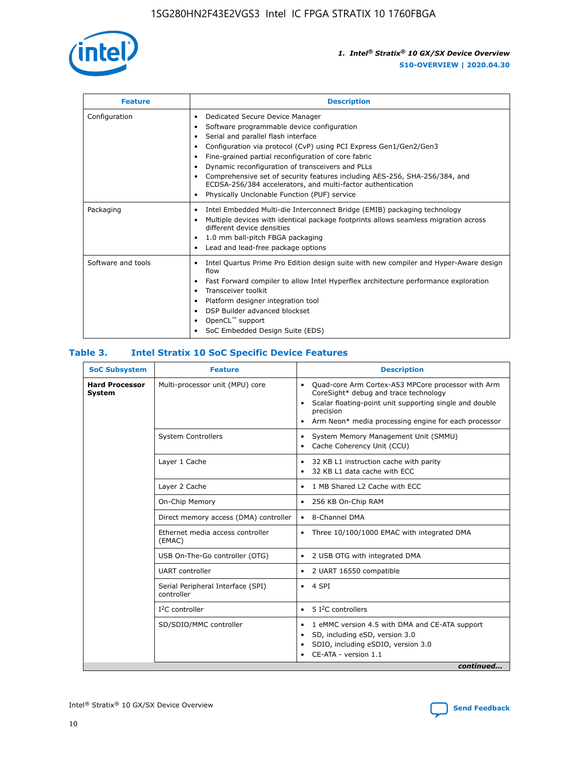

| <b>Feature</b>     | <b>Description</b>                                                                                                                                                                                                                                                                                                                                                                                                                                                                                                                                                   |
|--------------------|----------------------------------------------------------------------------------------------------------------------------------------------------------------------------------------------------------------------------------------------------------------------------------------------------------------------------------------------------------------------------------------------------------------------------------------------------------------------------------------------------------------------------------------------------------------------|
| Configuration      | Dedicated Secure Device Manager<br>$\bullet$<br>Software programmable device configuration<br>٠<br>Serial and parallel flash interface<br>٠<br>Configuration via protocol (CvP) using PCI Express Gen1/Gen2/Gen3<br>٠<br>Fine-grained partial reconfiguration of core fabric<br>$\bullet$<br>Dynamic reconfiguration of transceivers and PLLs<br>$\bullet$<br>Comprehensive set of security features including AES-256, SHA-256/384, and<br>ECDSA-256/384 accelerators, and multi-factor authentication<br>Physically Unclonable Function (PUF) service<br>$\bullet$ |
| Packaging          | Intel Embedded Multi-die Interconnect Bridge (EMIB) packaging technology<br>٠<br>Multiple devices with identical package footprints allows seamless migration across<br>$\bullet$<br>different device densities<br>1.0 mm ball-pitch FBGA packaging<br>$\bullet$<br>Lead and lead-free package options                                                                                                                                                                                                                                                               |
| Software and tools | Intel Quartus Prime Pro Edition design suite with new compiler and Hyper-Aware design<br>flow<br>Fast Forward compiler to allow Intel Hyperflex architecture performance exploration<br>$\bullet$<br>Transceiver toolkit<br>$\bullet$<br>Platform designer integration tool<br>DSP Builder advanced blockset<br>OpenCL <sup>™</sup> support<br>SoC Embedded Design Suite (EDS)                                                                                                                                                                                       |

## **Table 3. Intel Stratix 10 SoC Specific Device Features**

| <b>Hard Processor</b><br>Multi-processor unit (MPU) core<br>Quad-core Arm Cortex-A53 MPCore processor with Arm<br>$\bullet$<br>CoreSight* debug and trace technology<br>System<br>Scalar floating-point unit supporting single and double<br>$\bullet$<br>precision<br>Arm Neon* media processing engine for each processor<br>$\bullet$<br><b>System Controllers</b><br>System Memory Management Unit (SMMU)<br>$\bullet$<br>Cache Coherency Unit (CCU)<br>$\bullet$<br>Layer 1 Cache<br>32 KB L1 instruction cache with parity<br>$\bullet$<br>32 KB L1 data cache with ECC<br>$\bullet$<br>Layer 2 Cache<br>1 MB Shared L2 Cache with ECC<br>$\bullet$<br>On-Chip Memory<br>256 KB On-Chip RAM<br>٠<br>Direct memory access (DMA) controller<br>8-Channel DMA<br>$\bullet$<br>Ethernet media access controller<br>Three 10/100/1000 EMAC with integrated DMA<br>$\bullet$<br>(EMAC)<br>USB On-The-Go controller (OTG)<br>2 USB OTG with integrated DMA<br>$\bullet$<br><b>UART</b> controller<br>2 UART 16550 compatible<br>$\bullet$<br>Serial Peripheral Interface (SPI)<br>4 SPI<br>$\bullet$<br>controller<br>$I2C$ controller<br>5 I <sup>2</sup> C controllers<br>$\bullet$<br>SD/SDIO/MMC controller<br>1 eMMC version 4.5 with DMA and CE-ATA support<br>$\bullet$<br>SD, including eSD, version 3.0<br>$\bullet$<br>SDIO, including eSDIO, version 3.0<br>$\bullet$<br>CE-ATA - version 1.1 | <b>SoC Subsystem</b> | <b>Feature</b> | <b>Description</b> |
|---------------------------------------------------------------------------------------------------------------------------------------------------------------------------------------------------------------------------------------------------------------------------------------------------------------------------------------------------------------------------------------------------------------------------------------------------------------------------------------------------------------------------------------------------------------------------------------------------------------------------------------------------------------------------------------------------------------------------------------------------------------------------------------------------------------------------------------------------------------------------------------------------------------------------------------------------------------------------------------------------------------------------------------------------------------------------------------------------------------------------------------------------------------------------------------------------------------------------------------------------------------------------------------------------------------------------------------------------------------------------------------------------------|----------------------|----------------|--------------------|
|                                                                                                                                                                                                                                                                                                                                                                                                                                                                                                                                                                                                                                                                                                                                                                                                                                                                                                                                                                                                                                                                                                                                                                                                                                                                                                                                                                                                         |                      |                |                    |
|                                                                                                                                                                                                                                                                                                                                                                                                                                                                                                                                                                                                                                                                                                                                                                                                                                                                                                                                                                                                                                                                                                                                                                                                                                                                                                                                                                                                         |                      |                |                    |
|                                                                                                                                                                                                                                                                                                                                                                                                                                                                                                                                                                                                                                                                                                                                                                                                                                                                                                                                                                                                                                                                                                                                                                                                                                                                                                                                                                                                         |                      |                |                    |
|                                                                                                                                                                                                                                                                                                                                                                                                                                                                                                                                                                                                                                                                                                                                                                                                                                                                                                                                                                                                                                                                                                                                                                                                                                                                                                                                                                                                         |                      |                |                    |
|                                                                                                                                                                                                                                                                                                                                                                                                                                                                                                                                                                                                                                                                                                                                                                                                                                                                                                                                                                                                                                                                                                                                                                                                                                                                                                                                                                                                         |                      |                |                    |
|                                                                                                                                                                                                                                                                                                                                                                                                                                                                                                                                                                                                                                                                                                                                                                                                                                                                                                                                                                                                                                                                                                                                                                                                                                                                                                                                                                                                         |                      |                |                    |
|                                                                                                                                                                                                                                                                                                                                                                                                                                                                                                                                                                                                                                                                                                                                                                                                                                                                                                                                                                                                                                                                                                                                                                                                                                                                                                                                                                                                         |                      |                |                    |
|                                                                                                                                                                                                                                                                                                                                                                                                                                                                                                                                                                                                                                                                                                                                                                                                                                                                                                                                                                                                                                                                                                                                                                                                                                                                                                                                                                                                         |                      |                |                    |
|                                                                                                                                                                                                                                                                                                                                                                                                                                                                                                                                                                                                                                                                                                                                                                                                                                                                                                                                                                                                                                                                                                                                                                                                                                                                                                                                                                                                         |                      |                |                    |
|                                                                                                                                                                                                                                                                                                                                                                                                                                                                                                                                                                                                                                                                                                                                                                                                                                                                                                                                                                                                                                                                                                                                                                                                                                                                                                                                                                                                         |                      |                |                    |
|                                                                                                                                                                                                                                                                                                                                                                                                                                                                                                                                                                                                                                                                                                                                                                                                                                                                                                                                                                                                                                                                                                                                                                                                                                                                                                                                                                                                         |                      |                |                    |
| continued                                                                                                                                                                                                                                                                                                                                                                                                                                                                                                                                                                                                                                                                                                                                                                                                                                                                                                                                                                                                                                                                                                                                                                                                                                                                                                                                                                                               |                      |                |                    |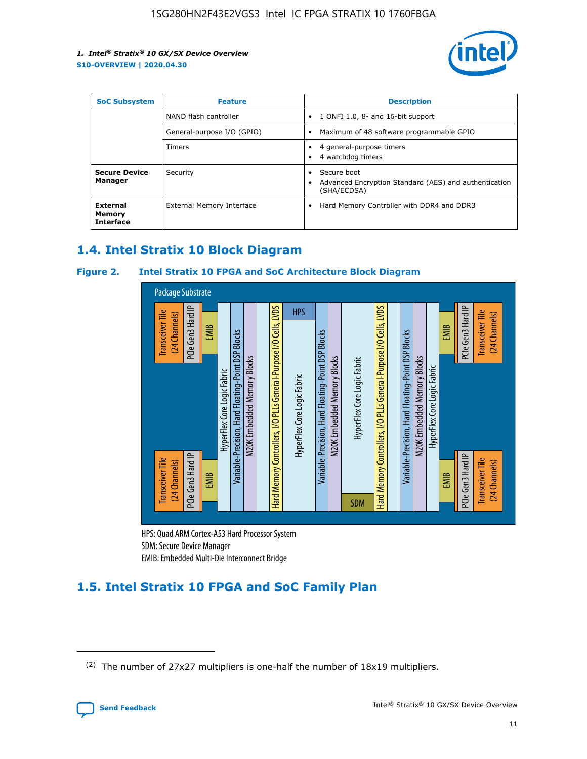

| <b>SoC Subsystem</b>                   | <b>Feature</b>             | <b>Description</b>                                                                                    |
|----------------------------------------|----------------------------|-------------------------------------------------------------------------------------------------------|
|                                        | NAND flash controller      | 1 ONFI 1.0, 8- and 16-bit support<br>$\bullet$                                                        |
|                                        | General-purpose I/O (GPIO) | Maximum of 48 software programmable GPIO<br>$\bullet$                                                 |
|                                        | Timers                     | 4 general-purpose timers<br>4 watchdog timers<br>٠                                                    |
| <b>Secure Device</b><br>Manager        | Security                   | Secure boot<br>$\bullet$<br>Advanced Encryption Standard (AES) and authentication<br>٠<br>(SHA/ECDSA) |
| External<br>Memory<br><b>Interface</b> | External Memory Interface  | Hard Memory Controller with DDR4 and DDR3<br>$\bullet$                                                |

## **1.4. Intel Stratix 10 Block Diagram**

## **Figure 2. Intel Stratix 10 FPGA and SoC Architecture Block Diagram**



HPS: Quad ARM Cortex-A53 Hard Processor System SDM: Secure Device Manager

# **1.5. Intel Stratix 10 FPGA and SoC Family Plan**

<sup>(2)</sup> The number of 27x27 multipliers is one-half the number of 18x19 multipliers.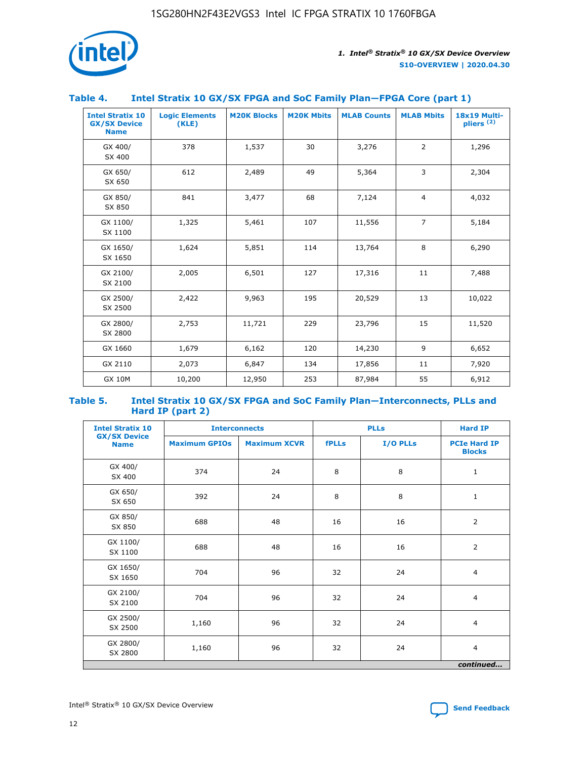

## **Table 4. Intel Stratix 10 GX/SX FPGA and SoC Family Plan—FPGA Core (part 1)**

| <b>Intel Stratix 10</b><br><b>GX/SX Device</b><br><b>Name</b> | <b>Logic Elements</b><br>(KLE) | <b>M20K Blocks</b> | <b>M20K Mbits</b> | <b>MLAB Counts</b> | <b>MLAB Mbits</b> | 18x19 Multi-<br>pliers <sup>(2)</sup> |
|---------------------------------------------------------------|--------------------------------|--------------------|-------------------|--------------------|-------------------|---------------------------------------|
| GX 400/<br>SX 400                                             | 378                            | 1,537              | 30                | 3,276              | $\overline{2}$    | 1,296                                 |
| GX 650/<br>SX 650                                             | 612                            | 2,489              | 49                | 5,364              | 3                 | 2,304                                 |
| GX 850/<br>SX 850                                             | 841                            | 3,477              | 68                | 7,124              | $\overline{4}$    | 4,032                                 |
| GX 1100/<br>SX 1100                                           | 1,325                          | 5,461              | 107               | 11,556             | $\overline{7}$    | 5,184                                 |
| GX 1650/<br>SX 1650                                           | 1,624                          | 5,851              | 114               | 13,764             | 8                 | 6,290                                 |
| GX 2100/<br>SX 2100                                           | 2,005                          | 6,501              | 127               | 17,316             | 11                | 7,488                                 |
| GX 2500/<br>SX 2500                                           | 2,422                          | 9,963              | 195               | 20,529             | 13                | 10,022                                |
| GX 2800/<br>SX 2800                                           | 2,753                          | 11,721             | 229               | 23,796             | 15                | 11,520                                |
| GX 1660                                                       | 1,679                          | 6,162              | 120               | 14,230             | 9                 | 6,652                                 |
| GX 2110                                                       | 2,073                          | 6,847              | 134               | 17,856             | 11                | 7,920                                 |
| <b>GX 10M</b>                                                 | 10,200                         | 12,950             | 253               | 87,984             | 55                | 6,912                                 |

#### **Table 5. Intel Stratix 10 GX/SX FPGA and SoC Family Plan—Interconnects, PLLs and Hard IP (part 2)**

| <b>Intel Stratix 10</b>            | <b>Interconnects</b> |                     |              | <b>PLLs</b> | <b>Hard IP</b>                       |  |
|------------------------------------|----------------------|---------------------|--------------|-------------|--------------------------------------|--|
| <b>GX/SX Device</b><br><b>Name</b> | <b>Maximum GPIOs</b> | <b>Maximum XCVR</b> | <b>fPLLs</b> | I/O PLLs    | <b>PCIe Hard IP</b><br><b>Blocks</b> |  |
| GX 400/<br>SX 400                  | 374                  | 24                  | 8            | 8           | $\mathbf{1}$                         |  |
| GX 650/<br>SX 650                  | 392                  | 24                  | 8            | 8           | $\mathbf{1}$                         |  |
| GX 850/<br>SX 850                  | 688                  | 48                  | 16           | 16          | 2                                    |  |
| GX 1100/<br>SX 1100                | 688                  | 48                  | 16           | 16          | 2                                    |  |
| GX 1650/<br>SX 1650                | 704                  | 96                  | 32           | 24          | $\overline{4}$                       |  |
| GX 2100/<br>SX 2100                | 704                  | 96                  | 32           | 24          | $\overline{4}$                       |  |
| GX 2500/<br>SX 2500                | 1,160                | 96                  | 32           | 24          | $\overline{4}$                       |  |
| GX 2800/<br>SX 2800                | 1,160                | 96                  | 32           | 24          | $\overline{4}$                       |  |
| continued                          |                      |                     |              |             |                                      |  |

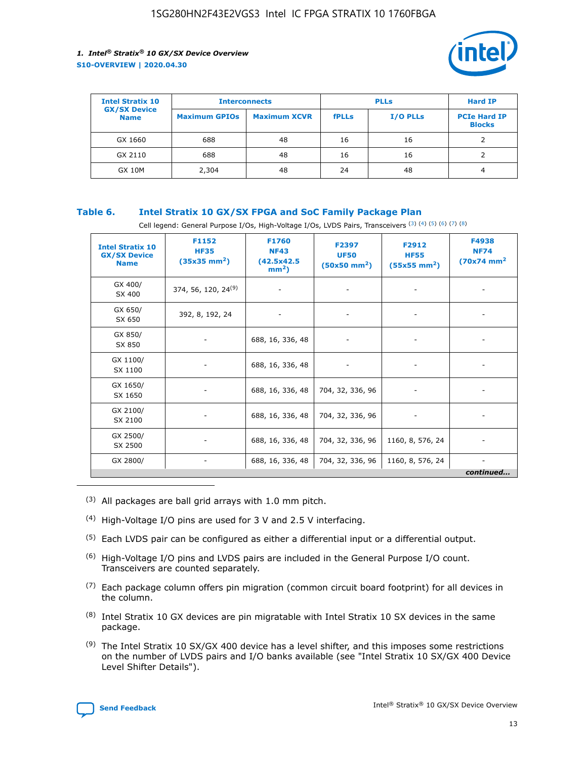

| <b>Intel Stratix 10</b>            | <b>Interconnects</b> |                     | <b>PLLs</b>  |                 | <b>Hard IP</b>                       |
|------------------------------------|----------------------|---------------------|--------------|-----------------|--------------------------------------|
| <b>GX/SX Device</b><br><b>Name</b> | <b>Maximum GPIOs</b> | <b>Maximum XCVR</b> | <b>fPLLs</b> | <b>I/O PLLs</b> | <b>PCIe Hard IP</b><br><b>Blocks</b> |
| GX 1660                            | 688                  | 48                  | 16           | 16              |                                      |
| GX 2110                            | 688                  | 48                  | 16           | 16              |                                      |
| <b>GX 10M</b>                      | 2,304                | 48                  | 24           | 48              | 4                                    |

## **Table 6. Intel Stratix 10 GX/SX FPGA and SoC Family Package Plan**

Cell legend: General Purpose I/Os, High-Voltage I/Os, LVDS Pairs, Transceivers (3) (4) (5) (6) (7) (8)

| <b>Intel Stratix 10</b><br><b>GX/SX Device</b><br><b>Name</b> | F1152<br><b>HF35</b><br>$(35x35 \text{ mm}^2)$ | F1760<br><b>NF43</b><br>(42.5x42.5<br>$mm2$ ) | F2397<br><b>UF50</b><br>$(50x50 \text{ mm}^2)$ | F2912<br><b>HF55</b><br>$(55x55$ mm <sup>2</sup> ) | F4938<br><b>NF74</b><br>$(70x74)$ mm <sup>2</sup> |
|---------------------------------------------------------------|------------------------------------------------|-----------------------------------------------|------------------------------------------------|----------------------------------------------------|---------------------------------------------------|
| GX 400/<br>SX 400                                             | 374, 56, 120, 24 <sup>(9)</sup>                | $\overline{\phantom{a}}$                      | $\overline{\phantom{a}}$                       | ۰                                                  |                                                   |
| GX 650/<br>SX 650                                             | 392, 8, 192, 24                                | $\overline{\phantom{a}}$                      | $\overline{\phantom{a}}$                       |                                                    |                                                   |
| GX 850/<br>SX 850                                             | ۰.                                             | 688, 16, 336, 48                              |                                                |                                                    |                                                   |
| GX 1100/<br>SX 1100                                           |                                                | 688, 16, 336, 48                              |                                                |                                                    |                                                   |
| GX 1650/<br>SX 1650                                           |                                                | 688, 16, 336, 48                              | 704, 32, 336, 96                               |                                                    |                                                   |
| GX 2100/<br>SX 2100                                           | -                                              | 688, 16, 336, 48                              | 704, 32, 336, 96                               | $\overline{\phantom{a}}$                           |                                                   |
| GX 2500/<br>SX 2500                                           |                                                | 688, 16, 336, 48                              | 704, 32, 336, 96                               | 1160, 8, 576, 24                                   |                                                   |
| GX 2800/                                                      | -                                              | 688, 16, 336, 48                              | 704, 32, 336, 96                               | 1160, 8, 576, 24                                   | $\overline{\phantom{a}}$<br>continued             |

- (3) All packages are ball grid arrays with 1.0 mm pitch.
- (4) High-Voltage I/O pins are used for 3 V and 2.5 V interfacing.
- $(5)$  Each LVDS pair can be configured as either a differential input or a differential output.
- (6) High-Voltage I/O pins and LVDS pairs are included in the General Purpose I/O count. Transceivers are counted separately.
- $(7)$  Each package column offers pin migration (common circuit board footprint) for all devices in the column.
- $(8)$  Intel Stratix 10 GX devices are pin migratable with Intel Stratix 10 SX devices in the same package.
- $(9)$  The Intel Stratix 10 SX/GX 400 device has a level shifter, and this imposes some restrictions on the number of LVDS pairs and I/O banks available (see "Intel Stratix 10 SX/GX 400 Device Level Shifter Details").

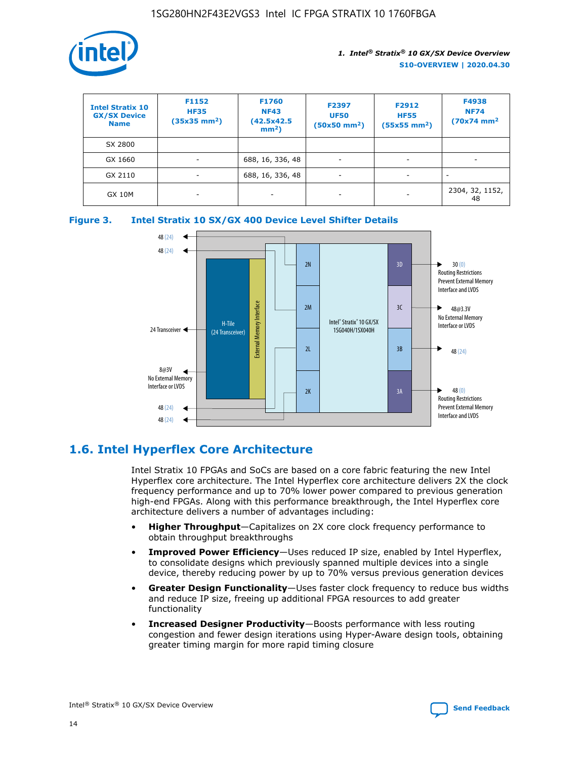

| <b>Intel Stratix 10</b><br><b>GX/SX Device</b><br><b>Name</b> | F1152<br><b>HF35</b><br>$(35x35)$ mm <sup>2</sup> ) | F1760<br><b>NF43</b><br>(42.5x42.5<br>$mm2$ ) | F2397<br><b>UF50</b><br>$(50x50 \text{ mm}^2)$ | F2912<br><b>HF55</b><br>$(55x55$ mm <sup>2</sup> ) | F4938<br><b>NF74</b><br>$(70x74)$ mm <sup>2</sup> |
|---------------------------------------------------------------|-----------------------------------------------------|-----------------------------------------------|------------------------------------------------|----------------------------------------------------|---------------------------------------------------|
| SX 2800                                                       |                                                     |                                               |                                                |                                                    |                                                   |
| GX 1660                                                       | -                                                   | 688, 16, 336, 48                              | $\overline{\phantom{a}}$                       |                                                    |                                                   |
| GX 2110                                                       |                                                     | 688, 16, 336, 48                              | $\overline{\phantom{a}}$                       |                                                    |                                                   |
| <b>GX 10M</b>                                                 | ۰                                                   |                                               |                                                |                                                    | 2304, 32, 1152,<br>48                             |





## **1.6. Intel Hyperflex Core Architecture**

Intel Stratix 10 FPGAs and SoCs are based on a core fabric featuring the new Intel Hyperflex core architecture. The Intel Hyperflex core architecture delivers 2X the clock frequency performance and up to 70% lower power compared to previous generation high-end FPGAs. Along with this performance breakthrough, the Intel Hyperflex core architecture delivers a number of advantages including:

- **Higher Throughput**—Capitalizes on 2X core clock frequency performance to obtain throughput breakthroughs
- **Improved Power Efficiency**—Uses reduced IP size, enabled by Intel Hyperflex, to consolidate designs which previously spanned multiple devices into a single device, thereby reducing power by up to 70% versus previous generation devices
- **Greater Design Functionality**—Uses faster clock frequency to reduce bus widths and reduce IP size, freeing up additional FPGA resources to add greater functionality
- **Increased Designer Productivity**—Boosts performance with less routing congestion and fewer design iterations using Hyper-Aware design tools, obtaining greater timing margin for more rapid timing closure

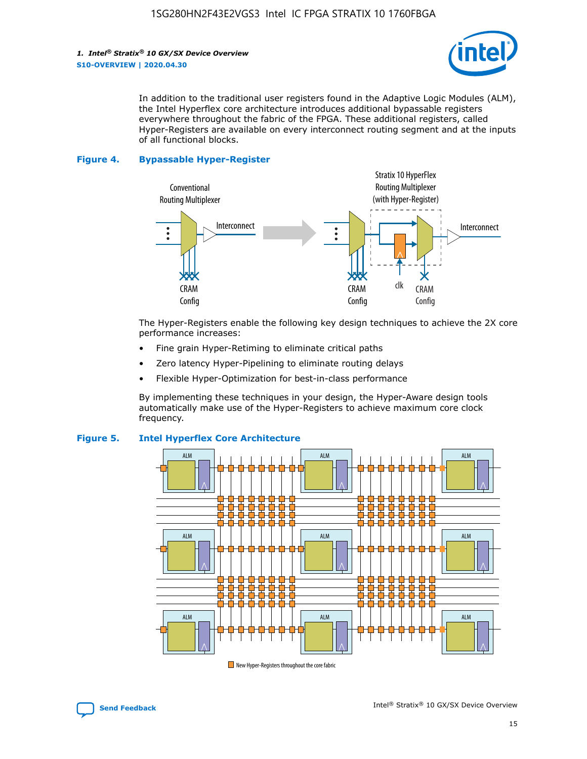*1. Intel® Stratix® 10 GX/SX Device Overview* **S10-OVERVIEW | 2020.04.30**



In addition to the traditional user registers found in the Adaptive Logic Modules (ALM), the Intel Hyperflex core architecture introduces additional bypassable registers everywhere throughout the fabric of the FPGA. These additional registers, called Hyper-Registers are available on every interconnect routing segment and at the inputs of all functional blocks.

#### **Figure 4. Bypassable Hyper-Register**



The Hyper-Registers enable the following key design techniques to achieve the 2X core performance increases:

- Fine grain Hyper-Retiming to eliminate critical paths
- Zero latency Hyper-Pipelining to eliminate routing delays
- Flexible Hyper-Optimization for best-in-class performance

By implementing these techniques in your design, the Hyper-Aware design tools automatically make use of the Hyper-Registers to achieve maximum core clock frequency.



## **Figure 5. Intel Hyperflex Core Architecture**

New Hyper-Registers throughout the core fabric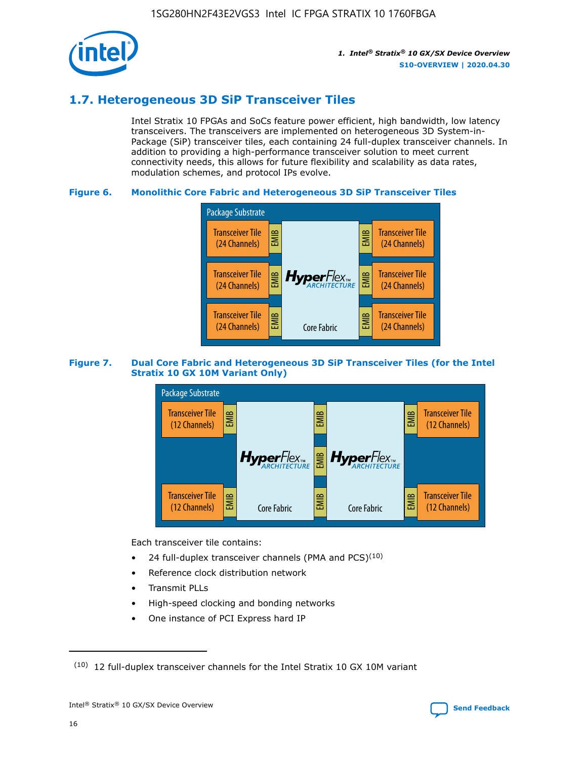

## **1.7. Heterogeneous 3D SiP Transceiver Tiles**

Intel Stratix 10 FPGAs and SoCs feature power efficient, high bandwidth, low latency transceivers. The transceivers are implemented on heterogeneous 3D System-in-Package (SiP) transceiver tiles, each containing 24 full-duplex transceiver channels. In addition to providing a high-performance transceiver solution to meet current connectivity needs, this allows for future flexibility and scalability as data rates, modulation schemes, and protocol IPs evolve.

## **Figure 6. Monolithic Core Fabric and Heterogeneous 3D SiP Transceiver Tiles**



## **Figure 7. Dual Core Fabric and Heterogeneous 3D SiP Transceiver Tiles (for the Intel Stratix 10 GX 10M Variant Only)**



Each transceiver tile contains:

- 24 full-duplex transceiver channels (PMA and PCS) $(10)$
- Reference clock distribution network
- Transmit PLLs
- High-speed clocking and bonding networks
- One instance of PCI Express hard IP

 $(10)$  12 full-duplex transceiver channels for the Intel Stratix 10 GX 10M variant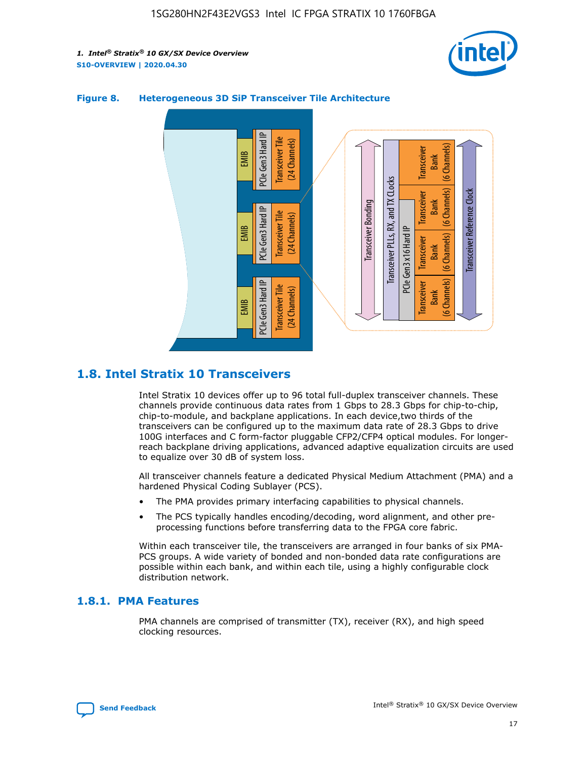



## **Figure 8. Heterogeneous 3D SiP Transceiver Tile Architecture**

## **1.8. Intel Stratix 10 Transceivers**

Intel Stratix 10 devices offer up to 96 total full-duplex transceiver channels. These channels provide continuous data rates from 1 Gbps to 28.3 Gbps for chip-to-chip, chip-to-module, and backplane applications. In each device,two thirds of the transceivers can be configured up to the maximum data rate of 28.3 Gbps to drive 100G interfaces and C form-factor pluggable CFP2/CFP4 optical modules. For longerreach backplane driving applications, advanced adaptive equalization circuits are used to equalize over 30 dB of system loss.

All transceiver channels feature a dedicated Physical Medium Attachment (PMA) and a hardened Physical Coding Sublayer (PCS).

- The PMA provides primary interfacing capabilities to physical channels.
- The PCS typically handles encoding/decoding, word alignment, and other preprocessing functions before transferring data to the FPGA core fabric.

Within each transceiver tile, the transceivers are arranged in four banks of six PMA-PCS groups. A wide variety of bonded and non-bonded data rate configurations are possible within each bank, and within each tile, using a highly configurable clock distribution network.

## **1.8.1. PMA Features**

PMA channels are comprised of transmitter (TX), receiver (RX), and high speed clocking resources.

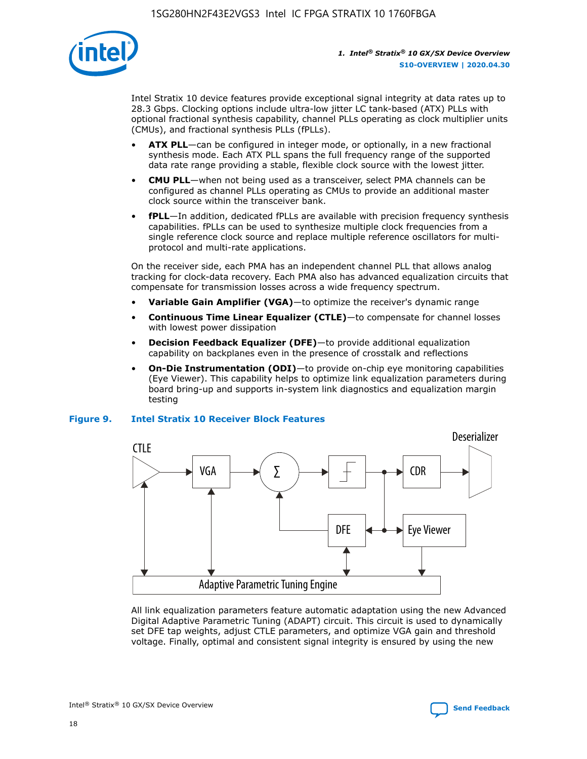

Intel Stratix 10 device features provide exceptional signal integrity at data rates up to 28.3 Gbps. Clocking options include ultra-low jitter LC tank-based (ATX) PLLs with optional fractional synthesis capability, channel PLLs operating as clock multiplier units (CMUs), and fractional synthesis PLLs (fPLLs).

- **ATX PLL**—can be configured in integer mode, or optionally, in a new fractional synthesis mode. Each ATX PLL spans the full frequency range of the supported data rate range providing a stable, flexible clock source with the lowest jitter.
- **CMU PLL**—when not being used as a transceiver, select PMA channels can be configured as channel PLLs operating as CMUs to provide an additional master clock source within the transceiver bank.
- **fPLL**—In addition, dedicated fPLLs are available with precision frequency synthesis capabilities. fPLLs can be used to synthesize multiple clock frequencies from a single reference clock source and replace multiple reference oscillators for multiprotocol and multi-rate applications.

On the receiver side, each PMA has an independent channel PLL that allows analog tracking for clock-data recovery. Each PMA also has advanced equalization circuits that compensate for transmission losses across a wide frequency spectrum.

- **Variable Gain Amplifier (VGA)**—to optimize the receiver's dynamic range
- **Continuous Time Linear Equalizer (CTLE)**—to compensate for channel losses with lowest power dissipation
- **Decision Feedback Equalizer (DFE)**—to provide additional equalization capability on backplanes even in the presence of crosstalk and reflections
- **On-Die Instrumentation (ODI)**—to provide on-chip eye monitoring capabilities (Eye Viewer). This capability helps to optimize link equalization parameters during board bring-up and supports in-system link diagnostics and equalization margin testing

## **Figure 9. Intel Stratix 10 Receiver Block Features**



All link equalization parameters feature automatic adaptation using the new Advanced Digital Adaptive Parametric Tuning (ADAPT) circuit. This circuit is used to dynamically set DFE tap weights, adjust CTLE parameters, and optimize VGA gain and threshold voltage. Finally, optimal and consistent signal integrity is ensured by using the new



Intel<sup>®</sup> Stratix<sup>®</sup> 10 GX/SX Device Overview **[Send Feedback](mailto:FPGAtechdocfeedback@intel.com?subject=Feedback%20on%20Intel%20Stratix%2010%20GX/SX%20Device%20Overview%20(S10-OVERVIEW%202020.04.30)&body=We%20appreciate%20your%20feedback.%20In%20your%20comments,%20also%20specify%20the%20page%20number%20or%20paragraph.%20Thank%20you.)** Send Feedback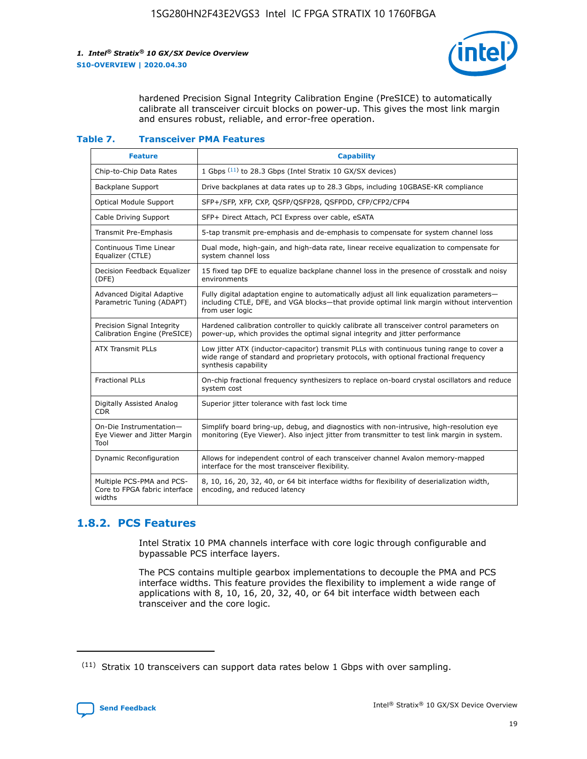

hardened Precision Signal Integrity Calibration Engine (PreSICE) to automatically calibrate all transceiver circuit blocks on power-up. This gives the most link margin and ensures robust, reliable, and error-free operation.

#### **Table 7. Transceiver PMA Features**

| <b>Feature</b>                                                       | <b>Capability</b>                                                                                                                                                                                         |
|----------------------------------------------------------------------|-----------------------------------------------------------------------------------------------------------------------------------------------------------------------------------------------------------|
| Chip-to-Chip Data Rates                                              | 1 Gbps (11) to 28.3 Gbps (Intel Stratix 10 GX/SX devices)                                                                                                                                                 |
| <b>Backplane Support</b>                                             | Drive backplanes at data rates up to 28.3 Gbps, including 10GBASE-KR compliance                                                                                                                           |
| Optical Module Support                                               | SFP+/SFP, XFP, CXP, QSFP/QSFP28, QSFPDD, CFP/CFP2/CFP4                                                                                                                                                    |
| Cable Driving Support                                                | SFP+ Direct Attach, PCI Express over cable, eSATA                                                                                                                                                         |
| <b>Transmit Pre-Emphasis</b>                                         | 5-tap transmit pre-emphasis and de-emphasis to compensate for system channel loss                                                                                                                         |
| Continuous Time Linear<br>Equalizer (CTLE)                           | Dual mode, high-gain, and high-data rate, linear receive equalization to compensate for<br>system channel loss                                                                                            |
| Decision Feedback Equalizer<br>(DFE)                                 | 15 fixed tap DFE to equalize backplane channel loss in the presence of crosstalk and noisy<br>environments                                                                                                |
| Advanced Digital Adaptive<br>Parametric Tuning (ADAPT)               | Fully digital adaptation engine to automatically adjust all link equalization parameters-<br>including CTLE, DFE, and VGA blocks-that provide optimal link margin without intervention<br>from user logic |
| Precision Signal Integrity<br>Calibration Engine (PreSICE)           | Hardened calibration controller to quickly calibrate all transceiver control parameters on<br>power-up, which provides the optimal signal integrity and jitter performance                                |
| <b>ATX Transmit PLLs</b>                                             | Low jitter ATX (inductor-capacitor) transmit PLLs with continuous tuning range to cover a<br>wide range of standard and proprietary protocols, with optional fractional frequency<br>synthesis capability |
| <b>Fractional PLLs</b>                                               | On-chip fractional frequency synthesizers to replace on-board crystal oscillators and reduce<br>system cost                                                                                               |
| Digitally Assisted Analog<br>CDR.                                    | Superior jitter tolerance with fast lock time                                                                                                                                                             |
| On-Die Instrumentation-<br>Eye Viewer and Jitter Margin<br>Tool      | Simplify board bring-up, debug, and diagnostics with non-intrusive, high-resolution eye<br>monitoring (Eye Viewer). Also inject jitter from transmitter to test link margin in system.                    |
| Dynamic Reconfiguration                                              | Allows for independent control of each transceiver channel Avalon memory-mapped<br>interface for the most transceiver flexibility.                                                                        |
| Multiple PCS-PMA and PCS-<br>Core to FPGA fabric interface<br>widths | 8, 10, 16, 20, 32, 40, or 64 bit interface widths for flexibility of deserialization width,<br>encoding, and reduced latency                                                                              |

## **1.8.2. PCS Features**

Intel Stratix 10 PMA channels interface with core logic through configurable and bypassable PCS interface layers.

The PCS contains multiple gearbox implementations to decouple the PMA and PCS interface widths. This feature provides the flexibility to implement a wide range of applications with 8, 10, 16, 20, 32, 40, or 64 bit interface width between each transceiver and the core logic.

 $(11)$  Stratix 10 transceivers can support data rates below 1 Gbps with over sampling.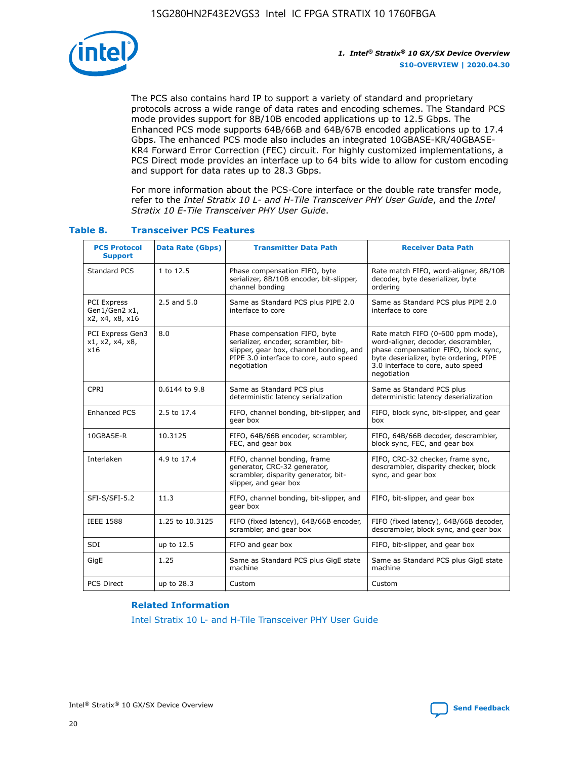

The PCS also contains hard IP to support a variety of standard and proprietary protocols across a wide range of data rates and encoding schemes. The Standard PCS mode provides support for 8B/10B encoded applications up to 12.5 Gbps. The Enhanced PCS mode supports 64B/66B and 64B/67B encoded applications up to 17.4 Gbps. The enhanced PCS mode also includes an integrated 10GBASE-KR/40GBASE-KR4 Forward Error Correction (FEC) circuit. For highly customized implementations, a PCS Direct mode provides an interface up to 64 bits wide to allow for custom encoding and support for data rates up to 28.3 Gbps.

For more information about the PCS-Core interface or the double rate transfer mode, refer to the *Intel Stratix 10 L- and H-Tile Transceiver PHY User Guide*, and the *Intel Stratix 10 E-Tile Transceiver PHY User Guide*.

| <b>PCS Protocol</b><br><b>Support</b>                  | <b>Data Rate (Gbps)</b> | <b>Transmitter Data Path</b>                                                                                                                                              | <b>Receiver Data Path</b>                                                                                                                                                                                      |
|--------------------------------------------------------|-------------------------|---------------------------------------------------------------------------------------------------------------------------------------------------------------------------|----------------------------------------------------------------------------------------------------------------------------------------------------------------------------------------------------------------|
| Standard PCS                                           | 1 to 12.5               | Phase compensation FIFO, byte<br>serializer, 8B/10B encoder, bit-slipper,<br>channel bonding                                                                              | Rate match FIFO, word-aligner, 8B/10B<br>decoder, byte deserializer, byte<br>ordering                                                                                                                          |
| <b>PCI Express</b><br>Gen1/Gen2 x1,<br>x2, x4, x8, x16 | $2.5$ and $5.0$         | Same as Standard PCS plus PIPE 2.0<br>interface to core                                                                                                                   | Same as Standard PCS plus PIPE 2.0<br>interface to core                                                                                                                                                        |
| PCI Express Gen3<br>x1, x2, x4, x8,<br>x16             | 8.0                     | Phase compensation FIFO, byte<br>serializer, encoder, scrambler, bit-<br>slipper, gear box, channel bonding, and<br>PIPE 3.0 interface to core, auto speed<br>negotiation | Rate match FIFO (0-600 ppm mode),<br>word-aligner, decoder, descrambler,<br>phase compensation FIFO, block sync,<br>byte deserializer, byte ordering, PIPE<br>3.0 interface to core, auto speed<br>negotiation |
| CPRI                                                   | 0.6144 to 9.8           | Same as Standard PCS plus<br>deterministic latency serialization                                                                                                          | Same as Standard PCS plus<br>deterministic latency deserialization                                                                                                                                             |
| <b>Enhanced PCS</b>                                    | 2.5 to 17.4             | FIFO, channel bonding, bit-slipper, and<br>gear box                                                                                                                       | FIFO, block sync, bit-slipper, and gear<br>box                                                                                                                                                                 |
| 10GBASE-R                                              | 10.3125                 | FIFO, 64B/66B encoder, scrambler,<br>FEC, and gear box                                                                                                                    | FIFO, 64B/66B decoder, descrambler,<br>block sync, FEC, and gear box                                                                                                                                           |
| Interlaken                                             | 4.9 to 17.4             | FIFO, channel bonding, frame<br>generator, CRC-32 generator,<br>scrambler, disparity generator, bit-<br>slipper, and gear box                                             | FIFO, CRC-32 checker, frame sync,<br>descrambler, disparity checker, block<br>sync, and gear box                                                                                                               |
| 11.3<br>SFI-S/SFI-5.2                                  |                         | FIFO, channel bonding, bit-slipper, and<br>gear box                                                                                                                       | FIFO, bit-slipper, and gear box                                                                                                                                                                                |
| <b>IEEE 1588</b>                                       | 1.25 to 10.3125         | FIFO (fixed latency), 64B/66B encoder,<br>scrambler, and gear box                                                                                                         | FIFO (fixed latency), 64B/66B decoder,<br>descrambler, block sync, and gear box                                                                                                                                |
| SDI                                                    | up to 12.5              | FIFO and gear box                                                                                                                                                         | FIFO, bit-slipper, and gear box                                                                                                                                                                                |
| GigE                                                   | 1.25                    | Same as Standard PCS plus GigE state<br>machine                                                                                                                           | Same as Standard PCS plus GigE state<br>machine                                                                                                                                                                |
| <b>PCS Direct</b>                                      | up to 28.3              | Custom                                                                                                                                                                    | Custom                                                                                                                                                                                                         |

## **Table 8. Transceiver PCS Features**

#### **Related Information**

[Intel Stratix 10 L- and H-Tile Transceiver PHY User Guide](https://www.altera.com/documentation/wry1479165198810.html)

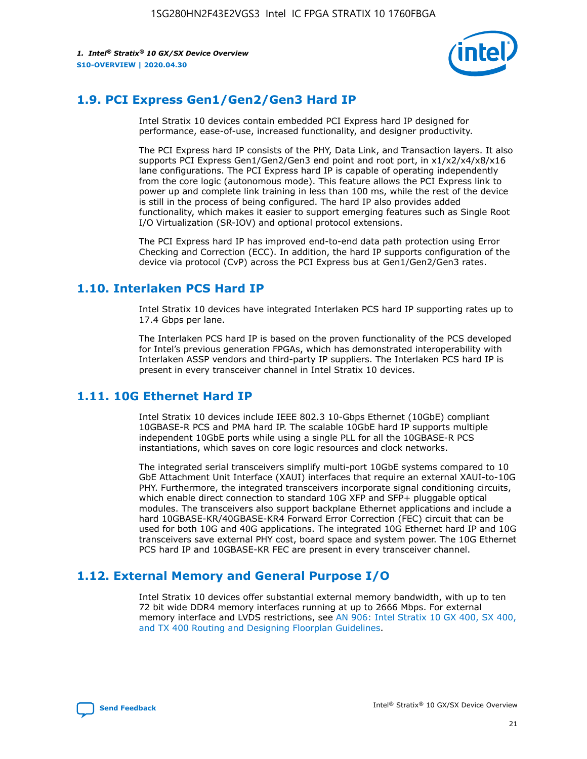

## **1.9. PCI Express Gen1/Gen2/Gen3 Hard IP**

Intel Stratix 10 devices contain embedded PCI Express hard IP designed for performance, ease-of-use, increased functionality, and designer productivity.

The PCI Express hard IP consists of the PHY, Data Link, and Transaction layers. It also supports PCI Express Gen1/Gen2/Gen3 end point and root port, in x1/x2/x4/x8/x16 lane configurations. The PCI Express hard IP is capable of operating independently from the core logic (autonomous mode). This feature allows the PCI Express link to power up and complete link training in less than 100 ms, while the rest of the device is still in the process of being configured. The hard IP also provides added functionality, which makes it easier to support emerging features such as Single Root I/O Virtualization (SR-IOV) and optional protocol extensions.

The PCI Express hard IP has improved end-to-end data path protection using Error Checking and Correction (ECC). In addition, the hard IP supports configuration of the device via protocol (CvP) across the PCI Express bus at Gen1/Gen2/Gen3 rates.

## **1.10. Interlaken PCS Hard IP**

Intel Stratix 10 devices have integrated Interlaken PCS hard IP supporting rates up to 17.4 Gbps per lane.

The Interlaken PCS hard IP is based on the proven functionality of the PCS developed for Intel's previous generation FPGAs, which has demonstrated interoperability with Interlaken ASSP vendors and third-party IP suppliers. The Interlaken PCS hard IP is present in every transceiver channel in Intel Stratix 10 devices.

## **1.11. 10G Ethernet Hard IP**

Intel Stratix 10 devices include IEEE 802.3 10-Gbps Ethernet (10GbE) compliant 10GBASE-R PCS and PMA hard IP. The scalable 10GbE hard IP supports multiple independent 10GbE ports while using a single PLL for all the 10GBASE-R PCS instantiations, which saves on core logic resources and clock networks.

The integrated serial transceivers simplify multi-port 10GbE systems compared to 10 GbE Attachment Unit Interface (XAUI) interfaces that require an external XAUI-to-10G PHY. Furthermore, the integrated transceivers incorporate signal conditioning circuits, which enable direct connection to standard 10G XFP and SFP+ pluggable optical modules. The transceivers also support backplane Ethernet applications and include a hard 10GBASE-KR/40GBASE-KR4 Forward Error Correction (FEC) circuit that can be used for both 10G and 40G applications. The integrated 10G Ethernet hard IP and 10G transceivers save external PHY cost, board space and system power. The 10G Ethernet PCS hard IP and 10GBASE-KR FEC are present in every transceiver channel.

## **1.12. External Memory and General Purpose I/O**

Intel Stratix 10 devices offer substantial external memory bandwidth, with up to ten 72 bit wide DDR4 memory interfaces running at up to 2666 Mbps. For external memory interface and LVDS restrictions, see [AN 906: Intel Stratix 10 GX 400, SX 400,](https://www.intel.com/content/www/us/en/programmable/documentation/sjf1574667190623.html#bft1574667627484) [and TX 400 Routing and Designing Floorplan Guidelines.](https://www.intel.com/content/www/us/en/programmable/documentation/sjf1574667190623.html#bft1574667627484)

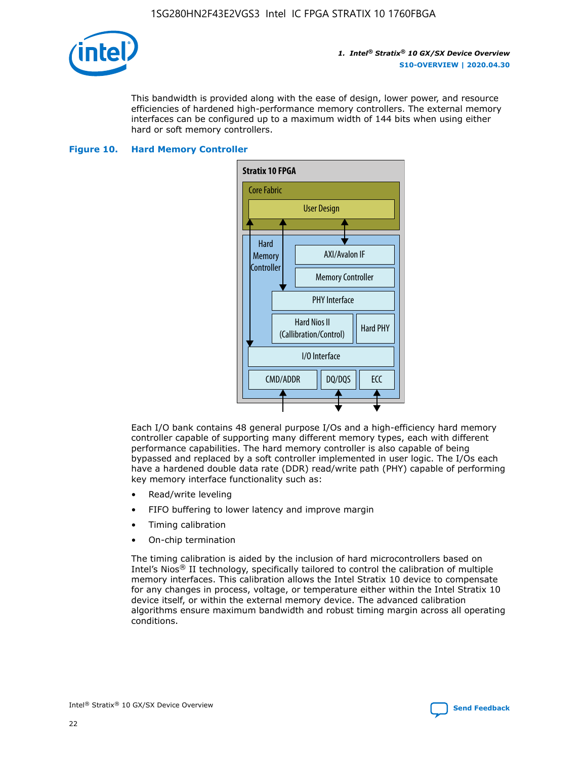

This bandwidth is provided along with the ease of design, lower power, and resource efficiencies of hardened high-performance memory controllers. The external memory interfaces can be configured up to a maximum width of 144 bits when using either hard or soft memory controllers.

### **Figure 10. Hard Memory Controller**



Each I/O bank contains 48 general purpose I/Os and a high-efficiency hard memory controller capable of supporting many different memory types, each with different performance capabilities. The hard memory controller is also capable of being bypassed and replaced by a soft controller implemented in user logic. The I/Os each have a hardened double data rate (DDR) read/write path (PHY) capable of performing key memory interface functionality such as:

- Read/write leveling
- FIFO buffering to lower latency and improve margin
- Timing calibration
- On-chip termination

The timing calibration is aided by the inclusion of hard microcontrollers based on Intel's Nios® II technology, specifically tailored to control the calibration of multiple memory interfaces. This calibration allows the Intel Stratix 10 device to compensate for any changes in process, voltage, or temperature either within the Intel Stratix 10 device itself, or within the external memory device. The advanced calibration algorithms ensure maximum bandwidth and robust timing margin across all operating conditions.

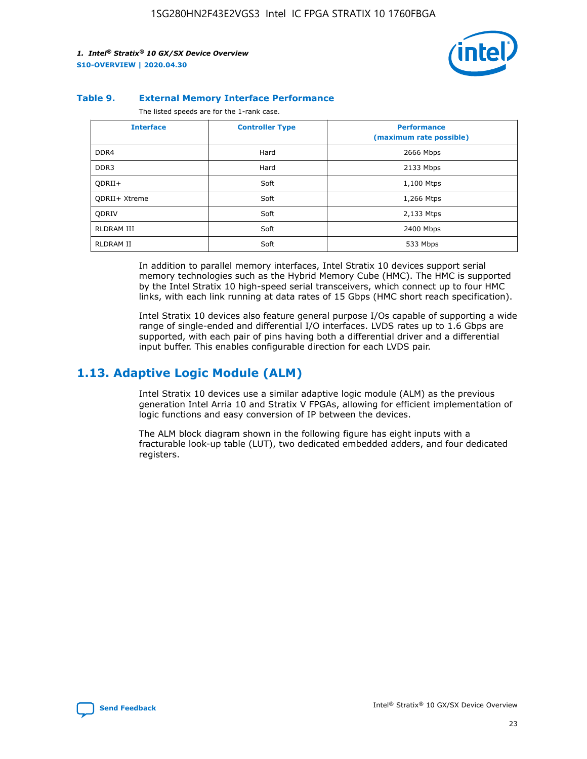

#### **Table 9. External Memory Interface Performance**

The listed speeds are for the 1-rank case.

| <b>Interface</b> | <b>Controller Type</b> | <b>Performance</b><br>(maximum rate possible) |
|------------------|------------------------|-----------------------------------------------|
| DDR4             | Hard                   | 2666 Mbps                                     |
| DDR <sub>3</sub> | Hard                   | 2133 Mbps                                     |
| QDRII+           | Soft                   | 1,100 Mtps                                    |
| QDRII+ Xtreme    | Soft                   | 1,266 Mtps                                    |
| <b>ODRIV</b>     | Soft                   | 2,133 Mtps                                    |
| RLDRAM III       | Soft                   | 2400 Mbps                                     |
| <b>RLDRAM II</b> | Soft                   | 533 Mbps                                      |

In addition to parallel memory interfaces, Intel Stratix 10 devices support serial memory technologies such as the Hybrid Memory Cube (HMC). The HMC is supported by the Intel Stratix 10 high-speed serial transceivers, which connect up to four HMC links, with each link running at data rates of 15 Gbps (HMC short reach specification).

Intel Stratix 10 devices also feature general purpose I/Os capable of supporting a wide range of single-ended and differential I/O interfaces. LVDS rates up to 1.6 Gbps are supported, with each pair of pins having both a differential driver and a differential input buffer. This enables configurable direction for each LVDS pair.

## **1.13. Adaptive Logic Module (ALM)**

Intel Stratix 10 devices use a similar adaptive logic module (ALM) as the previous generation Intel Arria 10 and Stratix V FPGAs, allowing for efficient implementation of logic functions and easy conversion of IP between the devices.

The ALM block diagram shown in the following figure has eight inputs with a fracturable look-up table (LUT), two dedicated embedded adders, and four dedicated registers.

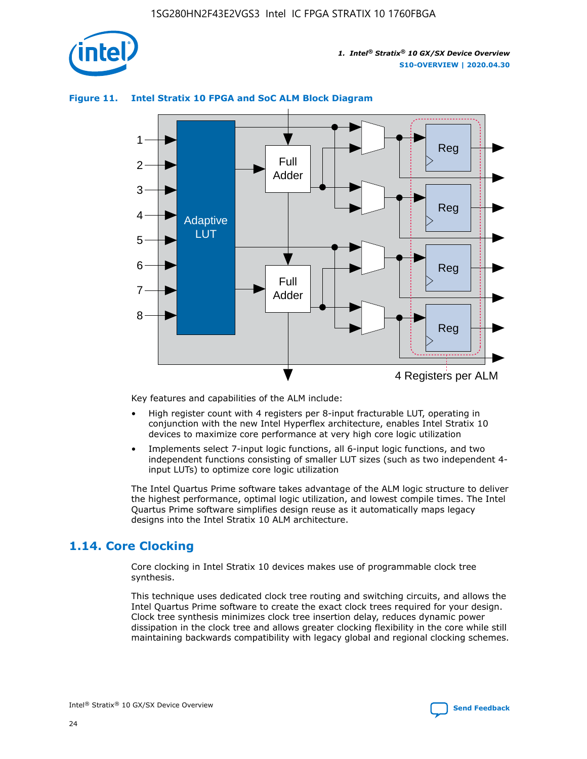

# **Figure 11. Intel Stratix 10 FPGA and SoC ALM Block Diagram**



Key features and capabilities of the ALM include:

- High register count with 4 registers per 8-input fracturable LUT, operating in conjunction with the new Intel Hyperflex architecture, enables Intel Stratix 10 devices to maximize core performance at very high core logic utilization
- Implements select 7-input logic functions, all 6-input logic functions, and two independent functions consisting of smaller LUT sizes (such as two independent 4 input LUTs) to optimize core logic utilization

The Intel Quartus Prime software takes advantage of the ALM logic structure to deliver the highest performance, optimal logic utilization, and lowest compile times. The Intel Quartus Prime software simplifies design reuse as it automatically maps legacy designs into the Intel Stratix 10 ALM architecture.

## **1.14. Core Clocking**

Core clocking in Intel Stratix 10 devices makes use of programmable clock tree synthesis.

This technique uses dedicated clock tree routing and switching circuits, and allows the Intel Quartus Prime software to create the exact clock trees required for your design. Clock tree synthesis minimizes clock tree insertion delay, reduces dynamic power dissipation in the clock tree and allows greater clocking flexibility in the core while still maintaining backwards compatibility with legacy global and regional clocking schemes.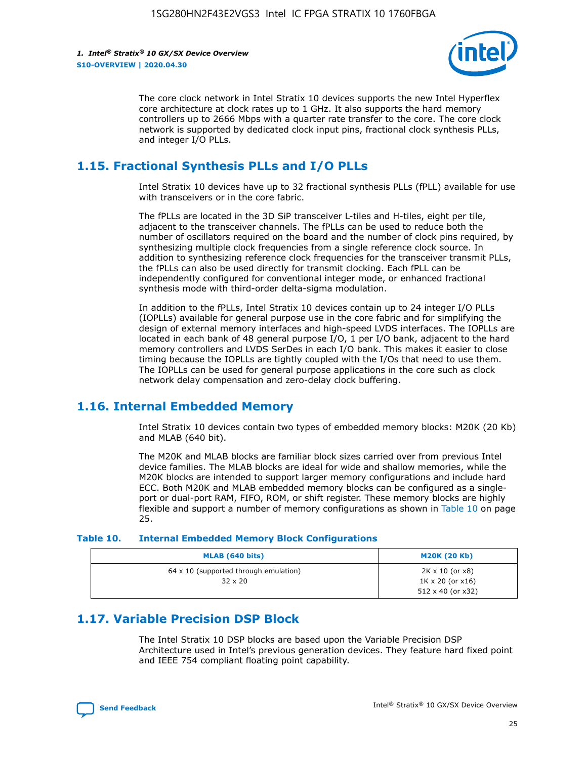

The core clock network in Intel Stratix 10 devices supports the new Intel Hyperflex core architecture at clock rates up to 1 GHz. It also supports the hard memory controllers up to 2666 Mbps with a quarter rate transfer to the core. The core clock network is supported by dedicated clock input pins, fractional clock synthesis PLLs, and integer I/O PLLs.

## **1.15. Fractional Synthesis PLLs and I/O PLLs**

Intel Stratix 10 devices have up to 32 fractional synthesis PLLs (fPLL) available for use with transceivers or in the core fabric.

The fPLLs are located in the 3D SiP transceiver L-tiles and H-tiles, eight per tile, adjacent to the transceiver channels. The fPLLs can be used to reduce both the number of oscillators required on the board and the number of clock pins required, by synthesizing multiple clock frequencies from a single reference clock source. In addition to synthesizing reference clock frequencies for the transceiver transmit PLLs, the fPLLs can also be used directly for transmit clocking. Each fPLL can be independently configured for conventional integer mode, or enhanced fractional synthesis mode with third-order delta-sigma modulation.

In addition to the fPLLs, Intel Stratix 10 devices contain up to 24 integer I/O PLLs (IOPLLs) available for general purpose use in the core fabric and for simplifying the design of external memory interfaces and high-speed LVDS interfaces. The IOPLLs are located in each bank of 48 general purpose I/O, 1 per I/O bank, adjacent to the hard memory controllers and LVDS SerDes in each I/O bank. This makes it easier to close timing because the IOPLLs are tightly coupled with the I/Os that need to use them. The IOPLLs can be used for general purpose applications in the core such as clock network delay compensation and zero-delay clock buffering.

## **1.16. Internal Embedded Memory**

Intel Stratix 10 devices contain two types of embedded memory blocks: M20K (20 Kb) and MLAB (640 bit).

The M20K and MLAB blocks are familiar block sizes carried over from previous Intel device families. The MLAB blocks are ideal for wide and shallow memories, while the M20K blocks are intended to support larger memory configurations and include hard ECC. Both M20K and MLAB embedded memory blocks can be configured as a singleport or dual-port RAM, FIFO, ROM, or shift register. These memory blocks are highly flexible and support a number of memory configurations as shown in Table 10 on page 25.

#### **Table 10. Internal Embedded Memory Block Configurations**

| MLAB (640 bits)                                                | <b>M20K (20 Kb)</b>                                                                    |
|----------------------------------------------------------------|----------------------------------------------------------------------------------------|
| $64 \times 10$ (supported through emulation)<br>$32 \times 20$ | $2K \times 10$ (or $x8$ )<br>$1K \times 20$ (or $x16$ )<br>$512 \times 40$ (or $x32$ ) |

## **1.17. Variable Precision DSP Block**

The Intel Stratix 10 DSP blocks are based upon the Variable Precision DSP Architecture used in Intel's previous generation devices. They feature hard fixed point and IEEE 754 compliant floating point capability.

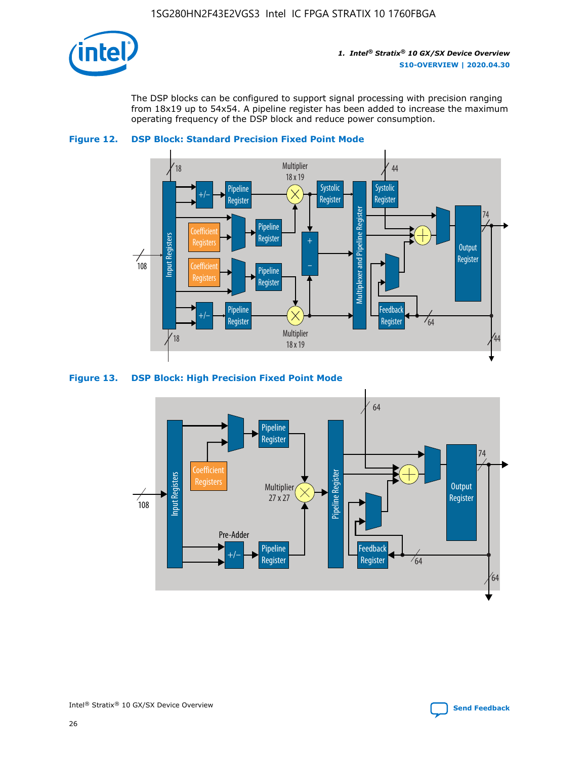

The DSP blocks can be configured to support signal processing with precision ranging from 18x19 up to 54x54. A pipeline register has been added to increase the maximum operating frequency of the DSP block and reduce power consumption.





### **Figure 13. DSP Block: High Precision Fixed Point Mode**

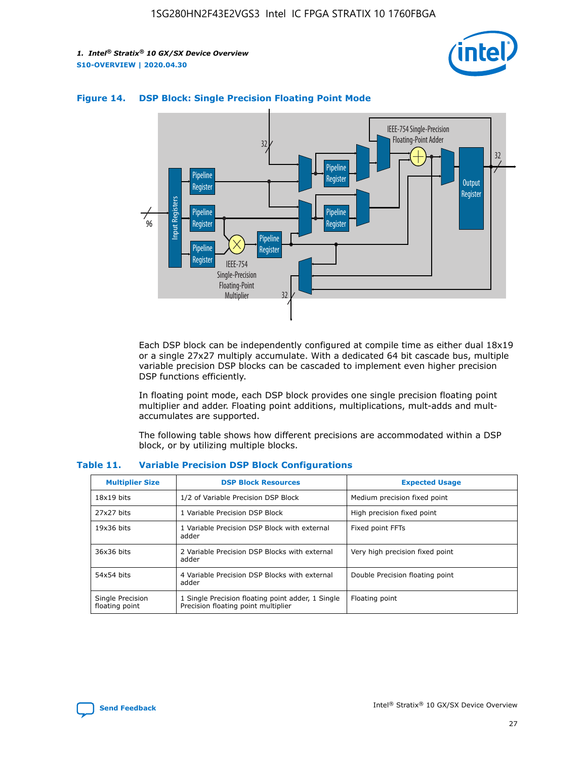



## **Figure 14. DSP Block: Single Precision Floating Point Mode**

Each DSP block can be independently configured at compile time as either dual 18x19 or a single 27x27 multiply accumulate. With a dedicated 64 bit cascade bus, multiple variable precision DSP blocks can be cascaded to implement even higher precision DSP functions efficiently.

In floating point mode, each DSP block provides one single precision floating point multiplier and adder. Floating point additions, multiplications, mult-adds and multaccumulates are supported.

The following table shows how different precisions are accommodated within a DSP block, or by utilizing multiple blocks.

| <b>Multiplier Size</b>             | <b>DSP Block Resources</b>                                                               | <b>Expected Usage</b>           |
|------------------------------------|------------------------------------------------------------------------------------------|---------------------------------|
| $18x19$ bits                       | 1/2 of Variable Precision DSP Block                                                      | Medium precision fixed point    |
| 27x27 bits                         | 1 Variable Precision DSP Block                                                           | High precision fixed point      |
| $19x36$ bits                       | 1 Variable Precision DSP Block with external<br>adder                                    | Fixed point FFTs                |
| 36x36 bits                         | 2 Variable Precision DSP Blocks with external<br>adder                                   | Very high precision fixed point |
| 54x54 bits                         | 4 Variable Precision DSP Blocks with external<br>adder                                   | Double Precision floating point |
| Single Precision<br>floating point | 1 Single Precision floating point adder, 1 Single<br>Precision floating point multiplier | Floating point                  |

#### **Table 11. Variable Precision DSP Block Configurations**

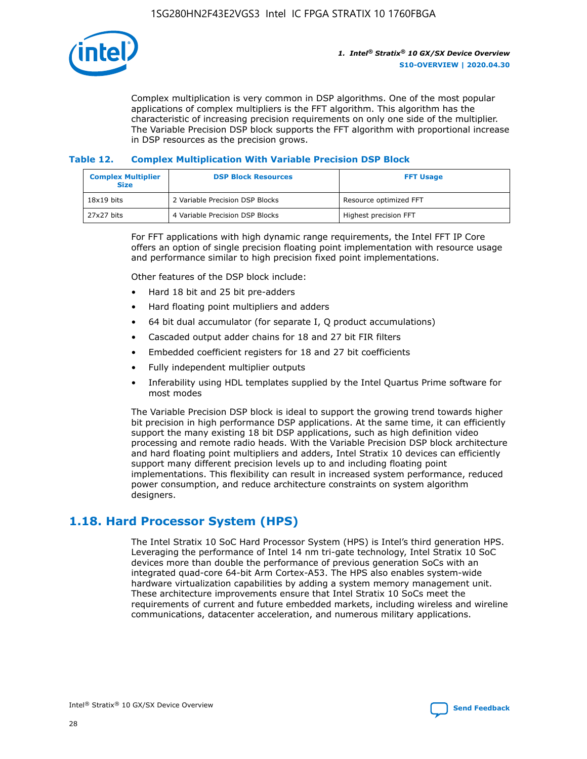

Complex multiplication is very common in DSP algorithms. One of the most popular applications of complex multipliers is the FFT algorithm. This algorithm has the characteristic of increasing precision requirements on only one side of the multiplier. The Variable Precision DSP block supports the FFT algorithm with proportional increase in DSP resources as the precision grows.

## **Table 12. Complex Multiplication With Variable Precision DSP Block**

| <b>Complex Multiplier</b><br><b>Size</b> | <b>DSP Block Resources</b>      | <b>FFT Usage</b>       |
|------------------------------------------|---------------------------------|------------------------|
| $18x19$ bits                             | 2 Variable Precision DSP Blocks | Resource optimized FFT |
| 27x27 bits                               | 4 Variable Precision DSP Blocks | Highest precision FFT  |

For FFT applications with high dynamic range requirements, the Intel FFT IP Core offers an option of single precision floating point implementation with resource usage and performance similar to high precision fixed point implementations.

Other features of the DSP block include:

- Hard 18 bit and 25 bit pre-adders
- Hard floating point multipliers and adders
- 64 bit dual accumulator (for separate I, Q product accumulations)
- Cascaded output adder chains for 18 and 27 bit FIR filters
- Embedded coefficient registers for 18 and 27 bit coefficients
- Fully independent multiplier outputs
- Inferability using HDL templates supplied by the Intel Quartus Prime software for most modes

The Variable Precision DSP block is ideal to support the growing trend towards higher bit precision in high performance DSP applications. At the same time, it can efficiently support the many existing 18 bit DSP applications, such as high definition video processing and remote radio heads. With the Variable Precision DSP block architecture and hard floating point multipliers and adders, Intel Stratix 10 devices can efficiently support many different precision levels up to and including floating point implementations. This flexibility can result in increased system performance, reduced power consumption, and reduce architecture constraints on system algorithm designers.

## **1.18. Hard Processor System (HPS)**

The Intel Stratix 10 SoC Hard Processor System (HPS) is Intel's third generation HPS. Leveraging the performance of Intel 14 nm tri-gate technology, Intel Stratix 10 SoC devices more than double the performance of previous generation SoCs with an integrated quad-core 64-bit Arm Cortex-A53. The HPS also enables system-wide hardware virtualization capabilities by adding a system memory management unit. These architecture improvements ensure that Intel Stratix 10 SoCs meet the requirements of current and future embedded markets, including wireless and wireline communications, datacenter acceleration, and numerous military applications.

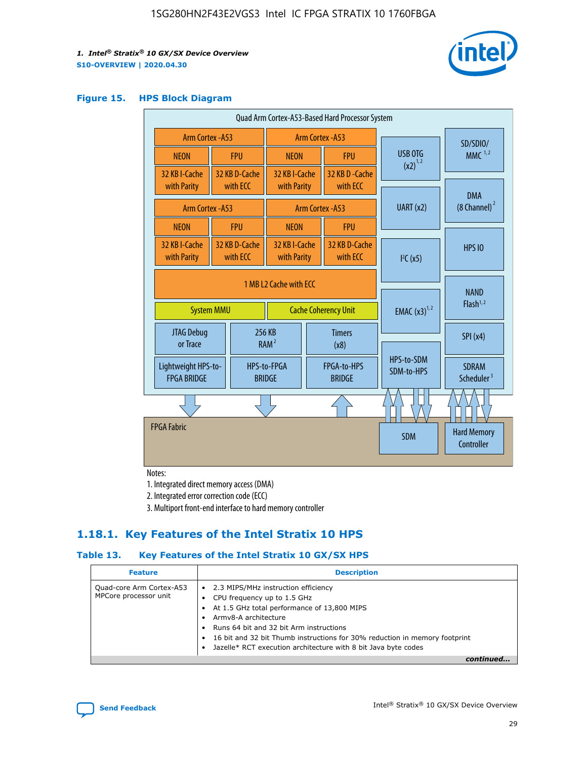

### **Figure 15. HPS Block Diagram**

| Quad Arm Cortex-A53-Based Hard Processor System |                                                                            |                           |                                                           |  |                              |                          |                                     |                                        |
|-------------------------------------------------|----------------------------------------------------------------------------|---------------------------|-----------------------------------------------------------|--|------------------------------|--------------------------|-------------------------------------|----------------------------------------|
| Arm Cortex - A53                                |                                                                            |                           | Arm Cortex - A53                                          |  |                              |                          | SD/SDIO/                            |                                        |
| <b>NEON</b>                                     |                                                                            | <b>FPU</b>                | <b>NEON</b>                                               |  | <b>FPU</b>                   | USB OTG                  |                                     | $MMC$ <sup>1,2</sup>                   |
| 32 KB I-Cache<br>with Parity                    |                                                                            | 32 KB D-Cache<br>with ECC | 32 KB I-Cache<br>with Parity                              |  | 32 KB D - Cache<br>with ECC  | $(x2)^{1,2}$             |                                     |                                        |
|                                                 | Arm Cortex - A53                                                           |                           |                                                           |  | Arm Cortex - A53             | UART (x2)                |                                     | <b>DMA</b><br>(8 Channel) <sup>2</sup> |
| <b>NEON</b>                                     |                                                                            | <b>FPU</b>                | <b>NEON</b>                                               |  | <b>FPU</b>                   |                          |                                     |                                        |
| 32 KB I-Cache<br>with Parity                    |                                                                            | 32 KB D-Cache<br>with ECC | 32 KB I-Cache<br>32 KB D-Cache<br>with ECC<br>with Parity |  | I <sup>2</sup> C(x5)         |                          | <b>HPS 10</b>                       |                                        |
|                                                 | 1 MB L2 Cache with ECC<br><b>System MMU</b><br><b>Cache Coherency Unit</b> |                           |                                                           |  | <b>EMAC</b> $(x3)^{1,2}$     |                          | <b>NAND</b><br>Flash <sup>1,2</sup> |                                        |
| <b>JTAG Debug</b><br>or Trace                   |                                                                            | 256 KB                    | <b>Timers</b><br>RAM <sup>2</sup><br>(x8)                 |  |                              |                          | SPI(x4)                             |                                        |
| Lightweight HPS-to-<br><b>FPGA BRIDGE</b>       |                                                                            |                           | HPS-to-FPGA<br><b>BRIDGE</b>                              |  | FPGA-to-HPS<br><b>BRIDGE</b> | HPS-to-SDM<br>SDM-to-HPS |                                     | <b>SDRAM</b><br>Scheduler <sup>3</sup> |
|                                                 |                                                                            |                           |                                                           |  |                              |                          |                                     |                                        |
| <b>FPGA Fabric</b>                              |                                                                            |                           |                                                           |  |                              | <b>SDM</b>               |                                     | <b>Hard Memory</b><br>Controller       |

Notes:

1. Integrated direct memory access (DMA)

2. Integrated error correction code (ECC)

3. Multiport front-end interface to hard memory controller

## **1.18.1. Key Features of the Intel Stratix 10 HPS**

## **Table 13. Key Features of the Intel Stratix 10 GX/SX HPS**

| <b>Feature</b>                                    | <b>Description</b>                                                                                                                                                                                                                                                                                                                     |
|---------------------------------------------------|----------------------------------------------------------------------------------------------------------------------------------------------------------------------------------------------------------------------------------------------------------------------------------------------------------------------------------------|
| Quad-core Arm Cortex-A53<br>MPCore processor unit | • 2.3 MIPS/MHz instruction efficiency<br>CPU frequency up to 1.5 GHz<br>At 1.5 GHz total performance of 13,800 MIPS<br>Army8-A architecture<br>Runs 64 bit and 32 bit Arm instructions<br>16 bit and 32 bit Thumb instructions for 30% reduction in memory footprint<br>Jazelle* RCT execution architecture with 8 bit Java byte codes |
|                                                   |                                                                                                                                                                                                                                                                                                                                        |

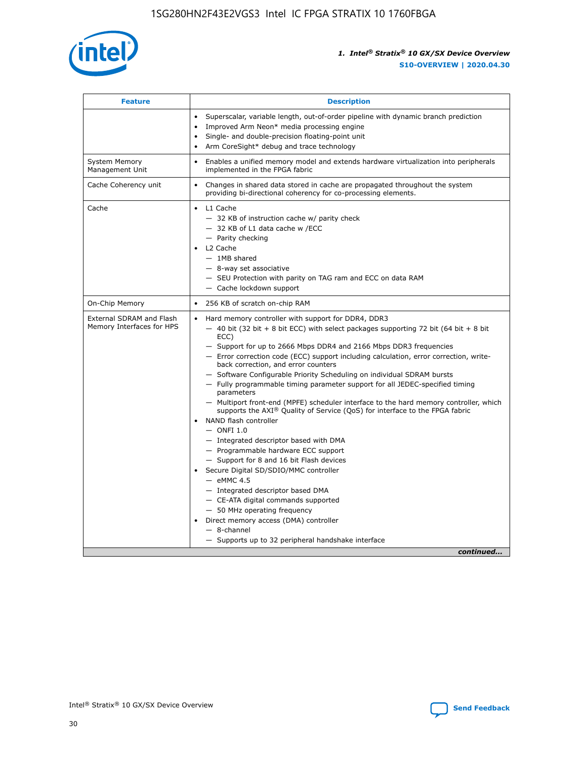

| <b>Feature</b>                                        | <b>Description</b>                                                                                                                                                                                                                                                                                                                                                                                                                                                                                                                                                                                                                                                                                                                                                                                                                                                                                                                                                                                                                                                                                                                                                                                                     |  |
|-------------------------------------------------------|------------------------------------------------------------------------------------------------------------------------------------------------------------------------------------------------------------------------------------------------------------------------------------------------------------------------------------------------------------------------------------------------------------------------------------------------------------------------------------------------------------------------------------------------------------------------------------------------------------------------------------------------------------------------------------------------------------------------------------------------------------------------------------------------------------------------------------------------------------------------------------------------------------------------------------------------------------------------------------------------------------------------------------------------------------------------------------------------------------------------------------------------------------------------------------------------------------------------|--|
|                                                       | Superscalar, variable length, out-of-order pipeline with dynamic branch prediction<br>Improved Arm Neon* media processing engine<br>$\bullet$<br>Single- and double-precision floating-point unit<br>Arm CoreSight* debug and trace technology<br>$\bullet$                                                                                                                                                                                                                                                                                                                                                                                                                                                                                                                                                                                                                                                                                                                                                                                                                                                                                                                                                            |  |
| <b>System Memory</b><br>Management Unit               | Enables a unified memory model and extends hardware virtualization into peripherals<br>$\bullet$<br>implemented in the FPGA fabric                                                                                                                                                                                                                                                                                                                                                                                                                                                                                                                                                                                                                                                                                                                                                                                                                                                                                                                                                                                                                                                                                     |  |
| Cache Coherency unit                                  | $\bullet$<br>Changes in shared data stored in cache are propagated throughout the system<br>providing bi-directional coherency for co-processing elements.                                                                                                                                                                                                                                                                                                                                                                                                                                                                                                                                                                                                                                                                                                                                                                                                                                                                                                                                                                                                                                                             |  |
| Cache                                                 | L1 Cache<br>$\bullet$<br>- 32 KB of instruction cache w/ parity check<br>- 32 KB of L1 data cache w /ECC<br>- Parity checking<br>L2 Cache<br>$-$ 1MB shared<br>- 8-way set associative<br>- SEU Protection with parity on TAG ram and ECC on data RAM<br>- Cache lockdown support                                                                                                                                                                                                                                                                                                                                                                                                                                                                                                                                                                                                                                                                                                                                                                                                                                                                                                                                      |  |
| On-Chip Memory                                        | 256 KB of scratch on-chip RAM<br>$\bullet$                                                                                                                                                                                                                                                                                                                                                                                                                                                                                                                                                                                                                                                                                                                                                                                                                                                                                                                                                                                                                                                                                                                                                                             |  |
| External SDRAM and Flash<br>Memory Interfaces for HPS | Hard memory controller with support for DDR4, DDR3<br>$\bullet$<br>$-$ 40 bit (32 bit + 8 bit ECC) with select packages supporting 72 bit (64 bit + 8 bit<br>ECC)<br>- Support for up to 2666 Mbps DDR4 and 2166 Mbps DDR3 frequencies<br>- Error correction code (ECC) support including calculation, error correction, write-<br>back correction, and error counters<br>- Software Configurable Priority Scheduling on individual SDRAM bursts<br>- Fully programmable timing parameter support for all JEDEC-specified timing<br>parameters<br>- Multiport front-end (MPFE) scheduler interface to the hard memory controller, which<br>supports the $AXI^{\circledR}$ Quality of Service (QoS) for interface to the FPGA fabric<br>NAND flash controller<br>$-$ ONFI 1.0<br>- Integrated descriptor based with DMA<br>- Programmable hardware ECC support<br>- Support for 8 and 16 bit Flash devices<br>Secure Digital SD/SDIO/MMC controller<br>$-$ eMMC 4.5<br>- Integrated descriptor based DMA<br>- CE-ATA digital commands supported<br>- 50 MHz operating frequency<br>Direct memory access (DMA) controller<br>$\bullet$<br>- 8-channel<br>- Supports up to 32 peripheral handshake interface<br>continued |  |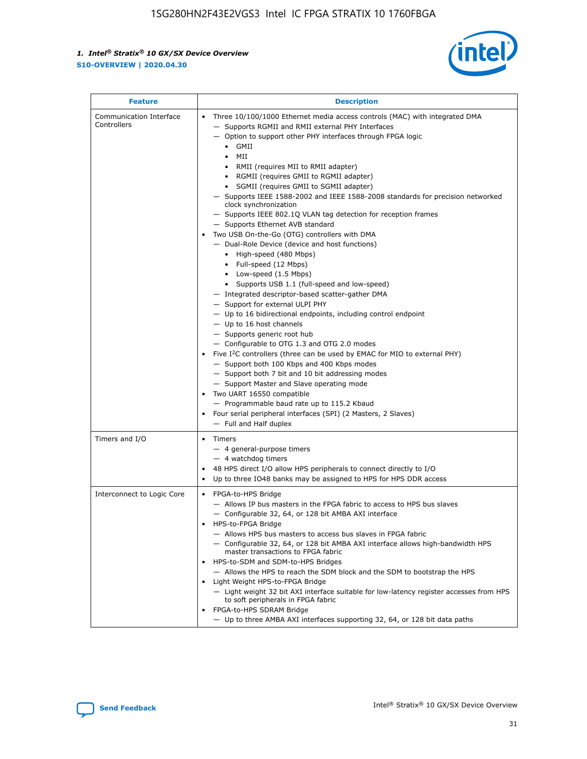

| <b>Feature</b>                         | <b>Description</b>                                                                                                                                                                                                                                                                                                                                                                                                                                                                                                                                                                                                                                                                                                                                                                                                                                                                                                                                                                                                                                                                                                                                                                                                                                                                                                                                                                                                                                                                                                     |
|----------------------------------------|------------------------------------------------------------------------------------------------------------------------------------------------------------------------------------------------------------------------------------------------------------------------------------------------------------------------------------------------------------------------------------------------------------------------------------------------------------------------------------------------------------------------------------------------------------------------------------------------------------------------------------------------------------------------------------------------------------------------------------------------------------------------------------------------------------------------------------------------------------------------------------------------------------------------------------------------------------------------------------------------------------------------------------------------------------------------------------------------------------------------------------------------------------------------------------------------------------------------------------------------------------------------------------------------------------------------------------------------------------------------------------------------------------------------------------------------------------------------------------------------------------------------|
| Communication Interface<br>Controllers | Three 10/100/1000 Ethernet media access controls (MAC) with integrated DMA<br>$\bullet$<br>- Supports RGMII and RMII external PHY Interfaces<br>- Option to support other PHY interfaces through FPGA logic<br>$\bullet$ GMII<br>MII<br>$\bullet$<br>RMII (requires MII to RMII adapter)<br>$\bullet$<br>• RGMII (requires GMII to RGMII adapter)<br>SGMII (requires GMII to SGMII adapter)<br>- Supports IEEE 1588-2002 and IEEE 1588-2008 standards for precision networked<br>clock synchronization<br>- Supports IEEE 802.1Q VLAN tag detection for reception frames<br>- Supports Ethernet AVB standard<br>Two USB On-the-Go (OTG) controllers with DMA<br>- Dual-Role Device (device and host functions)<br>• High-speed (480 Mbps)<br>• Full-speed (12 Mbps)<br>• Low-speed (1.5 Mbps)<br>• Supports USB 1.1 (full-speed and low-speed)<br>- Integrated descriptor-based scatter-gather DMA<br>- Support for external ULPI PHY<br>- Up to 16 bidirectional endpoints, including control endpoint<br>$-$ Up to 16 host channels<br>- Supports generic root hub<br>- Configurable to OTG 1.3 and OTG 2.0 modes<br>Five $I2C$ controllers (three can be used by EMAC for MIO to external PHY)<br>- Support both 100 Kbps and 400 Kbps modes<br>- Support both 7 bit and 10 bit addressing modes<br>- Support Master and Slave operating mode<br>Two UART 16550 compatible<br>- Programmable baud rate up to 115.2 Kbaud<br>Four serial peripheral interfaces (SPI) (2 Masters, 2 Slaves)<br>- Full and Half duplex |
| Timers and I/O                         | Timers<br>$\bullet$<br>- 4 general-purpose timers<br>$-4$ watchdog timers<br>48 HPS direct I/O allow HPS peripherals to connect directly to I/O<br>Up to three IO48 banks may be assigned to HPS for HPS DDR access                                                                                                                                                                                                                                                                                                                                                                                                                                                                                                                                                                                                                                                                                                                                                                                                                                                                                                                                                                                                                                                                                                                                                                                                                                                                                                    |
| Interconnect to Logic Core             | • FPGA-to-HPS Bridge<br>- Allows IP bus masters in the FPGA fabric to access to HPS bus slaves<br>- Configurable 32, 64, or 128 bit AMBA AXI interface<br>HPS-to-FPGA Bridge<br>- Allows HPS bus masters to access bus slaves in FPGA fabric<br>- Configurable 32, 64, or 128 bit AMBA AXI interface allows high-bandwidth HPS<br>master transactions to FPGA fabric<br>HPS-to-SDM and SDM-to-HPS Bridges<br>- Allows the HPS to reach the SDM block and the SDM to bootstrap the HPS<br>Light Weight HPS-to-FPGA Bridge<br>- Light weight 32 bit AXI interface suitable for low-latency register accesses from HPS<br>to soft peripherals in FPGA fabric<br>FPGA-to-HPS SDRAM Bridge<br>- Up to three AMBA AXI interfaces supporting 32, 64, or 128 bit data paths                                                                                                                                                                                                                                                                                                                                                                                                                                                                                                                                                                                                                                                                                                                                                    |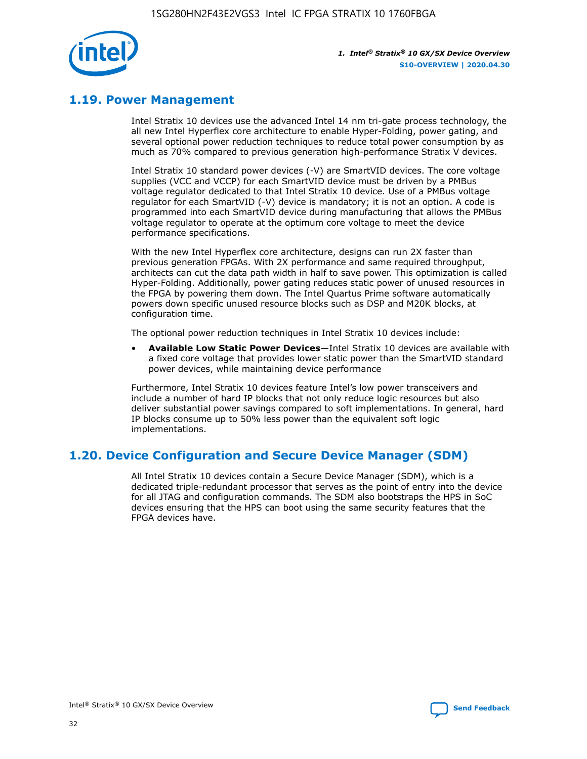

## **1.19. Power Management**

Intel Stratix 10 devices use the advanced Intel 14 nm tri-gate process technology, the all new Intel Hyperflex core architecture to enable Hyper-Folding, power gating, and several optional power reduction techniques to reduce total power consumption by as much as 70% compared to previous generation high-performance Stratix V devices.

Intel Stratix 10 standard power devices (-V) are SmartVID devices. The core voltage supplies (VCC and VCCP) for each SmartVID device must be driven by a PMBus voltage regulator dedicated to that Intel Stratix 10 device. Use of a PMBus voltage regulator for each SmartVID (-V) device is mandatory; it is not an option. A code is programmed into each SmartVID device during manufacturing that allows the PMBus voltage regulator to operate at the optimum core voltage to meet the device performance specifications.

With the new Intel Hyperflex core architecture, designs can run 2X faster than previous generation FPGAs. With 2X performance and same required throughput, architects can cut the data path width in half to save power. This optimization is called Hyper-Folding. Additionally, power gating reduces static power of unused resources in the FPGA by powering them down. The Intel Quartus Prime software automatically powers down specific unused resource blocks such as DSP and M20K blocks, at configuration time.

The optional power reduction techniques in Intel Stratix 10 devices include:

• **Available Low Static Power Devices**—Intel Stratix 10 devices are available with a fixed core voltage that provides lower static power than the SmartVID standard power devices, while maintaining device performance

Furthermore, Intel Stratix 10 devices feature Intel's low power transceivers and include a number of hard IP blocks that not only reduce logic resources but also deliver substantial power savings compared to soft implementations. In general, hard IP blocks consume up to 50% less power than the equivalent soft logic implementations.

## **1.20. Device Configuration and Secure Device Manager (SDM)**

All Intel Stratix 10 devices contain a Secure Device Manager (SDM), which is a dedicated triple-redundant processor that serves as the point of entry into the device for all JTAG and configuration commands. The SDM also bootstraps the HPS in SoC devices ensuring that the HPS can boot using the same security features that the FPGA devices have.

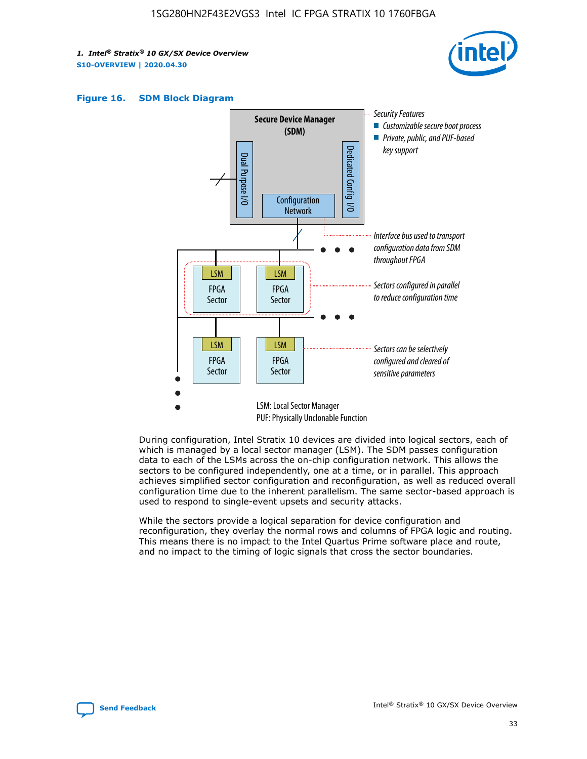





During configuration, Intel Stratix 10 devices are divided into logical sectors, each of which is managed by a local sector manager (LSM). The SDM passes configuration data to each of the LSMs across the on-chip configuration network. This allows the sectors to be configured independently, one at a time, or in parallel. This approach achieves simplified sector configuration and reconfiguration, as well as reduced overall configuration time due to the inherent parallelism. The same sector-based approach is used to respond to single-event upsets and security attacks.

While the sectors provide a logical separation for device configuration and reconfiguration, they overlay the normal rows and columns of FPGA logic and routing. This means there is no impact to the Intel Quartus Prime software place and route, and no impact to the timing of logic signals that cross the sector boundaries.

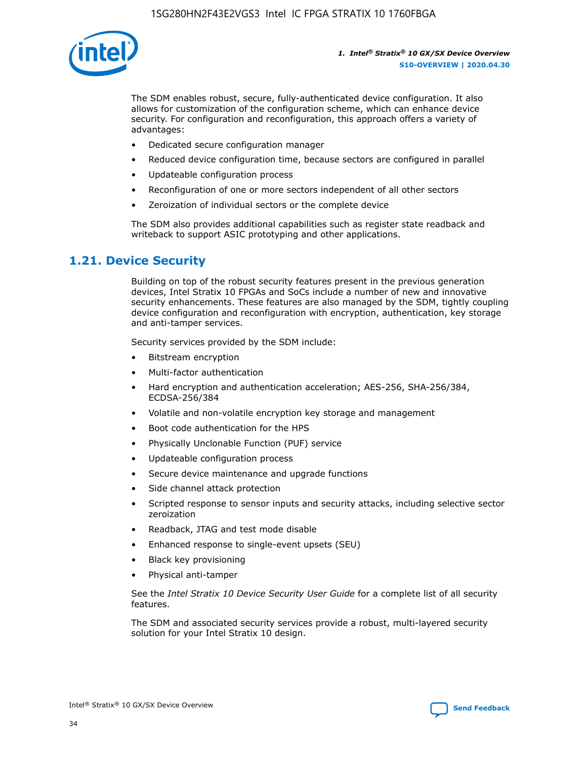

The SDM enables robust, secure, fully-authenticated device configuration. It also allows for customization of the configuration scheme, which can enhance device security. For configuration and reconfiguration, this approach offers a variety of advantages:

- Dedicated secure configuration manager
- Reduced device configuration time, because sectors are configured in parallel
- Updateable configuration process
- Reconfiguration of one or more sectors independent of all other sectors
- Zeroization of individual sectors or the complete device

The SDM also provides additional capabilities such as register state readback and writeback to support ASIC prototyping and other applications.

## **1.21. Device Security**

Building on top of the robust security features present in the previous generation devices, Intel Stratix 10 FPGAs and SoCs include a number of new and innovative security enhancements. These features are also managed by the SDM, tightly coupling device configuration and reconfiguration with encryption, authentication, key storage and anti-tamper services.

Security services provided by the SDM include:

- Bitstream encryption
- Multi-factor authentication
- Hard encryption and authentication acceleration; AES-256, SHA-256/384, ECDSA-256/384
- Volatile and non-volatile encryption key storage and management
- Boot code authentication for the HPS
- Physically Unclonable Function (PUF) service
- Updateable configuration process
- Secure device maintenance and upgrade functions
- Side channel attack protection
- Scripted response to sensor inputs and security attacks, including selective sector zeroization
- Readback, JTAG and test mode disable
- Enhanced response to single-event upsets (SEU)
- Black key provisioning
- Physical anti-tamper

See the *Intel Stratix 10 Device Security User Guide* for a complete list of all security features.

The SDM and associated security services provide a robust, multi-layered security solution for your Intel Stratix 10 design.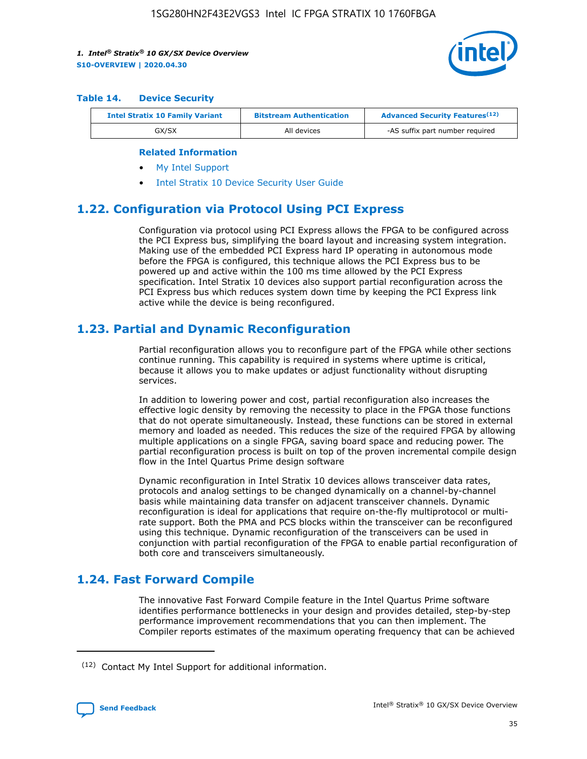

#### **Table 14. Device Security**

| <b>Intel Stratix 10 Family Variant</b> | <b>Bitstream Authentication</b> | <b>Advanced Security Features</b> <sup>(12)</sup> |  |  |
|----------------------------------------|---------------------------------|---------------------------------------------------|--|--|
| GX/SX                                  | All devices                     | -AS suffix part number required                   |  |  |

#### **Related Information**

- [My Intel Support](https://www.intel.com/content/www/us/en/programmable/my-intel/mal-home.html)
- [Intel Stratix 10 Device Security User Guide](https://www.intel.com/content/www/us/en/programmable/documentation/ndq1483601370898.html#wcd1483611014402)

## **1.22. Configuration via Protocol Using PCI Express**

Configuration via protocol using PCI Express allows the FPGA to be configured across the PCI Express bus, simplifying the board layout and increasing system integration. Making use of the embedded PCI Express hard IP operating in autonomous mode before the FPGA is configured, this technique allows the PCI Express bus to be powered up and active within the 100 ms time allowed by the PCI Express specification. Intel Stratix 10 devices also support partial reconfiguration across the PCI Express bus which reduces system down time by keeping the PCI Express link active while the device is being reconfigured.

## **1.23. Partial and Dynamic Reconfiguration**

Partial reconfiguration allows you to reconfigure part of the FPGA while other sections continue running. This capability is required in systems where uptime is critical, because it allows you to make updates or adjust functionality without disrupting services.

In addition to lowering power and cost, partial reconfiguration also increases the effective logic density by removing the necessity to place in the FPGA those functions that do not operate simultaneously. Instead, these functions can be stored in external memory and loaded as needed. This reduces the size of the required FPGA by allowing multiple applications on a single FPGA, saving board space and reducing power. The partial reconfiguration process is built on top of the proven incremental compile design flow in the Intel Quartus Prime design software

Dynamic reconfiguration in Intel Stratix 10 devices allows transceiver data rates, protocols and analog settings to be changed dynamically on a channel-by-channel basis while maintaining data transfer on adjacent transceiver channels. Dynamic reconfiguration is ideal for applications that require on-the-fly multiprotocol or multirate support. Both the PMA and PCS blocks within the transceiver can be reconfigured using this technique. Dynamic reconfiguration of the transceivers can be used in conjunction with partial reconfiguration of the FPGA to enable partial reconfiguration of both core and transceivers simultaneously.

## **1.24. Fast Forward Compile**

The innovative Fast Forward Compile feature in the Intel Quartus Prime software identifies performance bottlenecks in your design and provides detailed, step-by-step performance improvement recommendations that you can then implement. The Compiler reports estimates of the maximum operating frequency that can be achieved

<sup>(12)</sup> Contact My Intel Support for additional information.

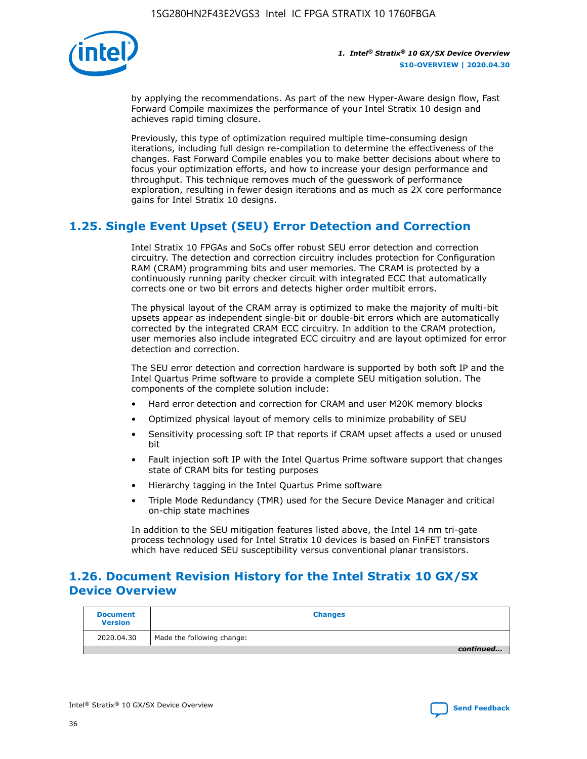

by applying the recommendations. As part of the new Hyper-Aware design flow, Fast Forward Compile maximizes the performance of your Intel Stratix 10 design and achieves rapid timing closure.

Previously, this type of optimization required multiple time-consuming design iterations, including full design re-compilation to determine the effectiveness of the changes. Fast Forward Compile enables you to make better decisions about where to focus your optimization efforts, and how to increase your design performance and throughput. This technique removes much of the guesswork of performance exploration, resulting in fewer design iterations and as much as 2X core performance gains for Intel Stratix 10 designs.

## **1.25. Single Event Upset (SEU) Error Detection and Correction**

Intel Stratix 10 FPGAs and SoCs offer robust SEU error detection and correction circuitry. The detection and correction circuitry includes protection for Configuration RAM (CRAM) programming bits and user memories. The CRAM is protected by a continuously running parity checker circuit with integrated ECC that automatically corrects one or two bit errors and detects higher order multibit errors.

The physical layout of the CRAM array is optimized to make the majority of multi-bit upsets appear as independent single-bit or double-bit errors which are automatically corrected by the integrated CRAM ECC circuitry. In addition to the CRAM protection, user memories also include integrated ECC circuitry and are layout optimized for error detection and correction.

The SEU error detection and correction hardware is supported by both soft IP and the Intel Quartus Prime software to provide a complete SEU mitigation solution. The components of the complete solution include:

- Hard error detection and correction for CRAM and user M20K memory blocks
- Optimized physical layout of memory cells to minimize probability of SEU
- Sensitivity processing soft IP that reports if CRAM upset affects a used or unused bit
- Fault injection soft IP with the Intel Quartus Prime software support that changes state of CRAM bits for testing purposes
- Hierarchy tagging in the Intel Quartus Prime software
- Triple Mode Redundancy (TMR) used for the Secure Device Manager and critical on-chip state machines

In addition to the SEU mitigation features listed above, the Intel 14 nm tri-gate process technology used for Intel Stratix 10 devices is based on FinFET transistors which have reduced SEU susceptibility versus conventional planar transistors.

## **1.26. Document Revision History for the Intel Stratix 10 GX/SX Device Overview**

| <b>Document</b><br><b>Version</b> | <b>Changes</b>             |
|-----------------------------------|----------------------------|
| 2020.04.30                        | Made the following change: |
|                                   | continued                  |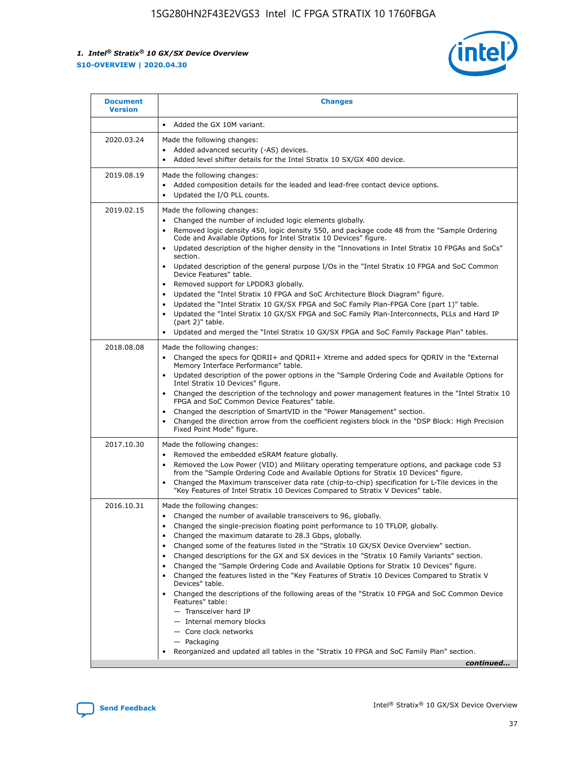

| <b>Document</b><br><b>Version</b> | <b>Changes</b>                                                                                                                                                                                                                                                                                                                                                                                                                                                                                                                                                                                                                                                                                                                                                                                                                                                                                                                                                                                 |
|-----------------------------------|------------------------------------------------------------------------------------------------------------------------------------------------------------------------------------------------------------------------------------------------------------------------------------------------------------------------------------------------------------------------------------------------------------------------------------------------------------------------------------------------------------------------------------------------------------------------------------------------------------------------------------------------------------------------------------------------------------------------------------------------------------------------------------------------------------------------------------------------------------------------------------------------------------------------------------------------------------------------------------------------|
|                                   | Added the GX 10M variant.                                                                                                                                                                                                                                                                                                                                                                                                                                                                                                                                                                                                                                                                                                                                                                                                                                                                                                                                                                      |
| 2020.03.24                        | Made the following changes:<br>Added advanced security (-AS) devices.<br>Added level shifter details for the Intel Stratix 10 SX/GX 400 device.                                                                                                                                                                                                                                                                                                                                                                                                                                                                                                                                                                                                                                                                                                                                                                                                                                                |
| 2019.08.19                        | Made the following changes:<br>Added composition details for the leaded and lead-free contact device options.<br>Updated the I/O PLL counts.                                                                                                                                                                                                                                                                                                                                                                                                                                                                                                                                                                                                                                                                                                                                                                                                                                                   |
| 2019.02.15                        | Made the following changes:<br>Changed the number of included logic elements globally.<br>Removed logic density 450, logic density 550, and package code 48 from the "Sample Ordering<br>$\bullet$<br>Code and Available Options for Intel Stratix 10 Devices" figure.<br>Updated description of the higher density in the "Innovations in Intel Stratix 10 FPGAs and SoCs"<br>section.<br>Updated description of the general purpose I/Os in the "Intel Stratix 10 FPGA and SoC Common<br>$\bullet$<br>Device Features" table.<br>Removed support for LPDDR3 globally.<br>Updated the "Intel Stratix 10 FPGA and SoC Architecture Block Diagram" figure.<br>$\bullet$<br>Updated the "Intel Stratix 10 GX/SX FPGA and SoC Family Plan-FPGA Core (part 1)" table.<br>$\bullet$<br>Updated the "Intel Stratix 10 GX/SX FPGA and SoC Family Plan-Interconnects, PLLs and Hard IP<br>(part 2)" table.<br>Updated and merged the "Intel Stratix 10 GX/SX FPGA and SoC Family Package Plan" tables. |
| 2018.08.08                        | Made the following changes:<br>Changed the specs for QDRII+ and QDRII+ Xtreme and added specs for QDRIV in the "External<br>$\bullet$<br>Memory Interface Performance" table.<br>Updated description of the power options in the "Sample Ordering Code and Available Options for<br>Intel Stratix 10 Devices" figure.<br>Changed the description of the technology and power management features in the "Intel Stratix 10<br>FPGA and SoC Common Device Features" table.<br>Changed the description of SmartVID in the "Power Management" section.<br>Changed the direction arrow from the coefficient registers block in the "DSP Block: High Precision<br>Fixed Point Mode" figure.                                                                                                                                                                                                                                                                                                          |
| 2017.10.30                        | Made the following changes:<br>Removed the embedded eSRAM feature globally.<br>$\bullet$<br>Removed the Low Power (VID) and Military operating temperature options, and package code 53<br>from the "Sample Ordering Code and Available Options for Stratix 10 Devices" figure.<br>Changed the Maximum transceiver data rate (chip-to-chip) specification for L-Tile devices in the<br>"Key Features of Intel Stratix 10 Devices Compared to Stratix V Devices" table.                                                                                                                                                                                                                                                                                                                                                                                                                                                                                                                         |
| 2016.10.31                        | Made the following changes:<br>• Changed the number of available transceivers to 96, globally.<br>Changed the single-precision floating point performance to 10 TFLOP, globally.<br>Changed the maximum datarate to 28.3 Gbps, globally.<br>Changed some of the features listed in the "Stratix 10 GX/SX Device Overview" section.<br>$\bullet$<br>Changed descriptions for the GX and SX devices in the "Stratix 10 Family Variants" section.<br>$\bullet$<br>Changed the "Sample Ordering Code and Available Options for Stratix 10 Devices" figure.<br>Changed the features listed in the "Key Features of Stratix 10 Devices Compared to Stratix V<br>Devices" table.<br>Changed the descriptions of the following areas of the "Stratix 10 FPGA and SoC Common Device<br>Features" table:<br>- Transceiver hard IP<br>- Internal memory blocks<br>- Core clock networks<br>- Packaging<br>Reorganized and updated all tables in the "Stratix 10 FPGA and SoC Family Plan" section.        |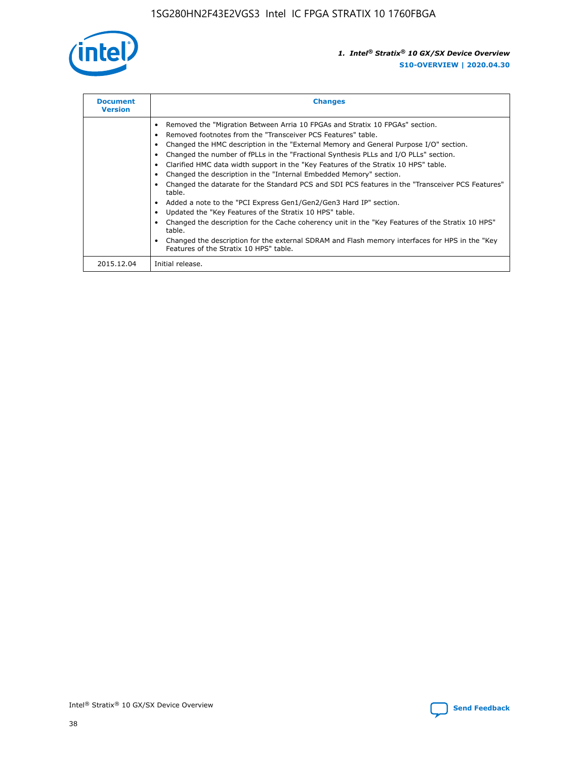

| <b>Document</b><br><b>Version</b> | <b>Changes</b>                                                                                                                                                                                                                                                                                                                                                                                                                                                                                                                                                                                                                                                                                                                                                                                                                                                                                                                                                                                     |
|-----------------------------------|----------------------------------------------------------------------------------------------------------------------------------------------------------------------------------------------------------------------------------------------------------------------------------------------------------------------------------------------------------------------------------------------------------------------------------------------------------------------------------------------------------------------------------------------------------------------------------------------------------------------------------------------------------------------------------------------------------------------------------------------------------------------------------------------------------------------------------------------------------------------------------------------------------------------------------------------------------------------------------------------------|
|                                   | Removed the "Migration Between Arria 10 FPGAs and Stratix 10 FPGAs" section.<br>Removed footnotes from the "Transceiver PCS Features" table.<br>Changed the HMC description in the "External Memory and General Purpose I/O" section.<br>Changed the number of fPLLs in the "Fractional Synthesis PLLs and I/O PLLs" section.<br>Clarified HMC data width support in the "Key Features of the Stratix 10 HPS" table.<br>Changed the description in the "Internal Embedded Memory" section.<br>Changed the datarate for the Standard PCS and SDI PCS features in the "Transceiver PCS Features"<br>table.<br>Added a note to the "PCI Express Gen1/Gen2/Gen3 Hard IP" section.<br>Updated the "Key Features of the Stratix 10 HPS" table.<br>Changed the description for the Cache coherency unit in the "Key Features of the Stratix 10 HPS"<br>table.<br>Changed the description for the external SDRAM and Flash memory interfaces for HPS in the "Key<br>Features of the Stratix 10 HPS" table. |
| 2015.12.04                        | Initial release.                                                                                                                                                                                                                                                                                                                                                                                                                                                                                                                                                                                                                                                                                                                                                                                                                                                                                                                                                                                   |